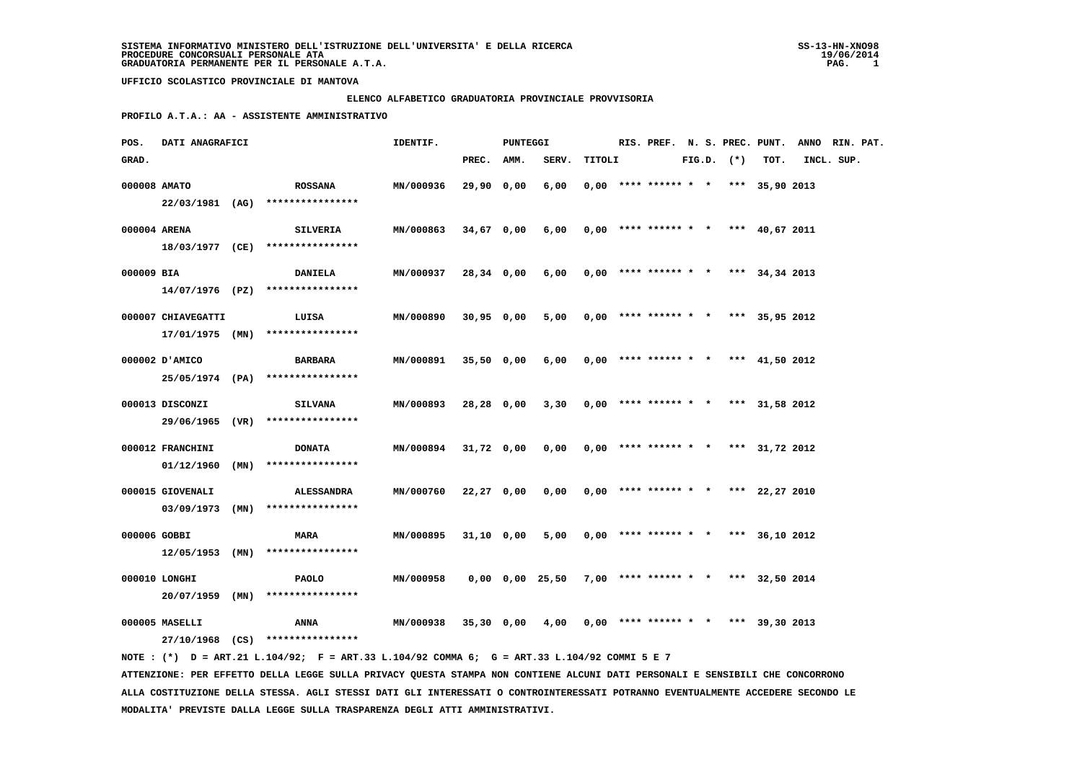#### **ELENCO ALFABETICO GRADUATORIA PROVINCIALE PROVVISORIA**

 **PROFILO A.T.A.: AA - ASSISTENTE AMMINISTRATIVO**

| POS.       | DATI ANAGRAFICI                  |                                                                                                                                 | IDENTIF.         |              | <b>PUNTEGGI</b> |                 |        |                        |  |                |                                       | RIS. PREF. N. S. PREC. PUNT. ANNO RIN. PAT. |            |  |
|------------|----------------------------------|---------------------------------------------------------------------------------------------------------------------------------|------------------|--------------|-----------------|-----------------|--------|------------------------|--|----------------|---------------------------------------|---------------------------------------------|------------|--|
| GRAD.      |                                  |                                                                                                                                 |                  | PREC.        | AMM.            | SERV.           | TITOLI |                        |  | $FIG.D.$ $(*)$ | TOT.                                  |                                             | INCL. SUP. |  |
|            | 000008 AMATO                     | <b>ROSSANA</b>                                                                                                                  | MN/000936        | 29,90 0,00   |                 | 6,00            |        |                        |  |                | $0,00$ **** ****** * * *** 35,90 2013 |                                             |            |  |
|            |                                  | 22/03/1981 (AG) ****************                                                                                                |                  |              |                 |                 |        |                        |  |                |                                       |                                             |            |  |
|            | 000004 ARENA                     | <b>SILVERIA</b>                                                                                                                 | MN/000863        | 34,67 0,00   |                 | 6,00            |        |                        |  |                | $0,00$ **** ****** * * *** 40,67 2011 |                                             |            |  |
|            |                                  | $18/03/1977$ (CE) *****************                                                                                             |                  |              |                 |                 |        |                        |  |                |                                       |                                             |            |  |
| 000009 BIA |                                  | <b>DANIELA</b>                                                                                                                  | MN/000937        | 28,34 0,00   |                 | 6,00            |        |                        |  |                | $0,00$ **** ****** * * *** 34,34 2013 |                                             |            |  |
|            |                                  | $14/07/1976$ (PZ) *****************                                                                                             |                  |              |                 |                 |        |                        |  |                |                                       |                                             |            |  |
|            | 000007 CHIAVEGATTI               | LUISA                                                                                                                           | MN/000890        | 30,95 0,00   |                 | 5,00            |        |                        |  |                | $0,00$ **** ****** * * *** 35,95 2012 |                                             |            |  |
|            |                                  | $17/01/1975$ (MN) ****************                                                                                              |                  |              |                 |                 |        |                        |  |                |                                       |                                             |            |  |
|            | 000002 D'AMICO                   | BARBARA                                                                                                                         | MN/000891        | $35,50$ 0,00 |                 | 6,00            |        |                        |  |                | $0,00$ **** ****** * * *** 41,50 2012 |                                             |            |  |
|            |                                  | 25/05/1974 (PA) ****************                                                                                                |                  |              |                 |                 |        |                        |  |                |                                       |                                             |            |  |
|            | 000013 DISCONZI                  | <b>SILVANA</b>                                                                                                                  | MN/000893        | 28,28 0,00   |                 | 3,30            |        | $0,00$ **** ****** * * |  |                | *** 31,58 2012                        |                                             |            |  |
|            |                                  | 29/06/1965 (VR) ****************                                                                                                |                  |              |                 |                 |        |                        |  |                |                                       |                                             |            |  |
|            | 000012 FRANCHINI                 | <b>DONATA</b>                                                                                                                   | <b>MN/000894</b> | 31,72 0,00   |                 | 0,00            |        |                        |  |                | $0,00$ **** ****** * * *** 31,72 2012 |                                             |            |  |
|            | 01/12/1960 (MN)                  | ****************                                                                                                                |                  |              |                 |                 |        |                        |  |                |                                       |                                             |            |  |
|            | 000015 GIOVENALI                 | <b>ALESSANDRA</b>                                                                                                               | MN/000760        | 22,27 0,00   |                 | 0,00            |        |                        |  |                | $0,00$ **** ****** * * *** 22,27 2010 |                                             |            |  |
|            |                                  | $03/09/1973$ (MN) ****************                                                                                              |                  |              |                 |                 |        |                        |  |                |                                       |                                             |            |  |
|            |                                  |                                                                                                                                 |                  |              |                 |                 |        |                        |  |                |                                       |                                             |            |  |
|            | 000006 GOBBI                     | <b>MARA</b><br>$12/05/1953$ (MN) ****************                                                                               | MN/000895        | 31,10 0,00   |                 | 5,00            |        |                        |  |                | $0,00$ **** ****** * * *** 36,10 2012 |                                             |            |  |
|            |                                  |                                                                                                                                 |                  |              |                 |                 |        |                        |  |                |                                       |                                             |            |  |
|            | 000010 LONGHI<br>20/07/1959 (MN) | <b>PAOLO</b><br>****************                                                                                                | MN/000958        |              |                 | 0,00 0,00 25,50 |        |                        |  |                | 7,00 **** ****** * * *** 32,50 2014   |                                             |            |  |
|            |                                  |                                                                                                                                 |                  |              |                 |                 |        |                        |  |                |                                       |                                             |            |  |
|            | 000005 MASELLI                   | ANNA                                                                                                                            | MN/000938        | 35,30 0,00   |                 | 4,00            |        |                        |  |                | $0,00$ **** ****** * * *** 39,30 2013 |                                             |            |  |
|            |                                  | 27/10/1968 (CS) ****************<br>NOTE: (*) D = ART.21 L.104/92; F = ART.33 L.104/92 COMMA 6; G = ART.33 L.104/92 COMMI 5 E 7 |                  |              |                 |                 |        |                        |  |                |                                       |                                             |            |  |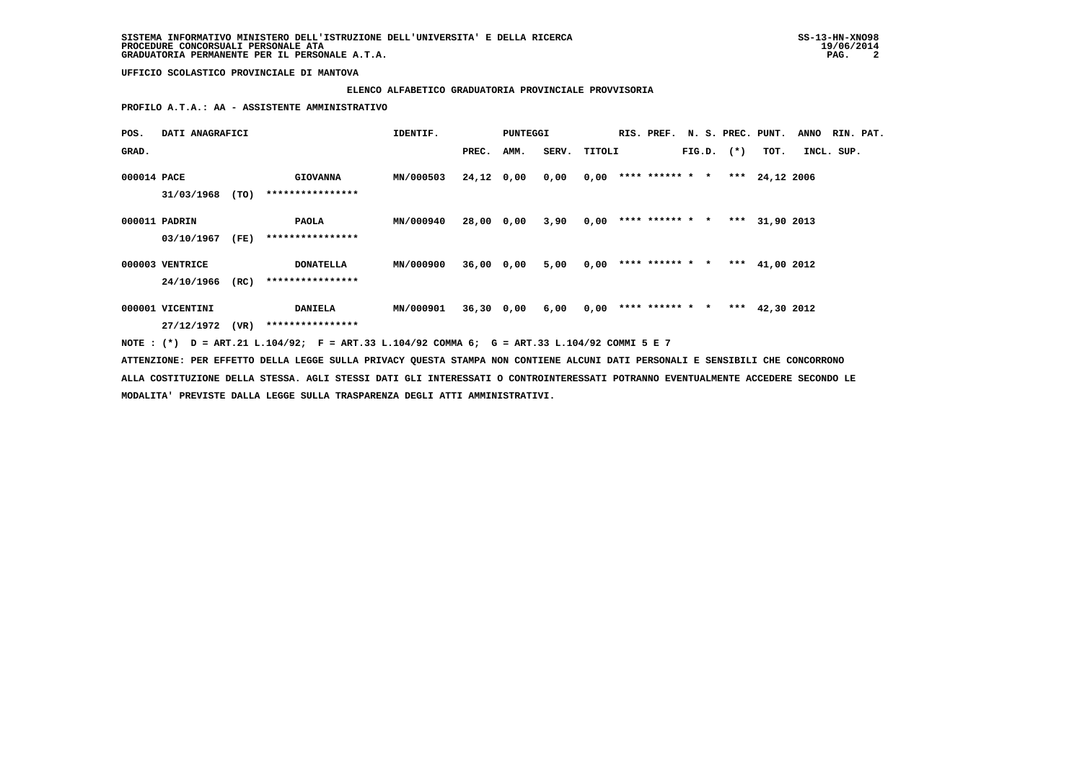# **ELENCO ALFABETICO GRADUATORIA PROVINCIALE PROVVISORIA**

 **PROFILO A.T.A.: AA - ASSISTENTE AMMINISTRATIVO**

| POS.        | DATI ANAGRAFICI                     |      |                                                                                                                               | IDENTIF.         |            | <b>PUNTEGGI</b> |              |      | RIS. PREF. N. S. PREC. PUNT. |  |                |                  | <b>ANNO</b> | RIN. PAT. |
|-------------|-------------------------------------|------|-------------------------------------------------------------------------------------------------------------------------------|------------------|------------|-----------------|--------------|------|------------------------------|--|----------------|------------------|-------------|-----------|
| GRAD.       |                                     |      |                                                                                                                               |                  | PREC.      | AMM.            | SERV. TITOLI |      |                              |  | $FIG.D.$ $(*)$ | тот.             | INCL. SUP.  |           |
| 000014 PACE | 31/03/1968                          | (TO) | <b>GIOVANNA</b><br>****************                                                                                           | MN/000503        | 24,12 0,00 |                 | 0,00         |      | $0,00$ **** ****** * *       |  |                | *** $24,12$ 2006 |             |           |
|             | 000011 PADRIN<br>03/10/1967         | (FE) | PAOLA<br>****************                                                                                                     | MN/000940        | 28,00 0,00 |                 | 3,90         | 0,00 | **** ****** * *              |  |                | *** 31,90 2013   |             |           |
|             | 000003 VENTRICE<br>24/10/1966       | (RC) | <b>DONATELLA</b><br>****************                                                                                          | MN/000900        | 36,00 0,00 |                 | 5,00         | 0,00 | **** ****** * *              |  |                | *** $41,00$ 2012 |             |           |
|             | 000001 VICENTINI<br>27/12/1972 (VR) |      | <b>DANIELA</b><br>****************                                                                                            | <b>MN/000901</b> |            | 36,30 0,00      | 6,00         |      | $0,00$ **** ****** * *       |  |                | *** $42,30$ 2012 |             |           |
|             |                                     |      | NOTE: (*) D = ART.21 L.104/92; F = ART.33 L.104/92 COMMA 6; G = ART.33 L.104/92 COMMI 5 E 7                                   |                  |            |                 |              |      |                              |  |                |                  |             |           |
|             |                                     |      | ATTENZIONE: PER EFFETTO DELLA LEGGE SULLA PRIVACY QUESTA STAMPA NON CONTIENE ALCUNI DATI PERSONALI E SENSIBILI CHE CONCORRONO |                  |            |                 |              |      |                              |  |                |                  |             |           |

 **ALLA COSTITUZIONE DELLA STESSA. AGLI STESSI DATI GLI INTERESSATI O CONTROINTERESSATI POTRANNO EVENTUALMENTE ACCEDERE SECONDO LE MODALITA' PREVISTE DALLA LEGGE SULLA TRASPARENZA DEGLI ATTI AMMINISTRATIVI.**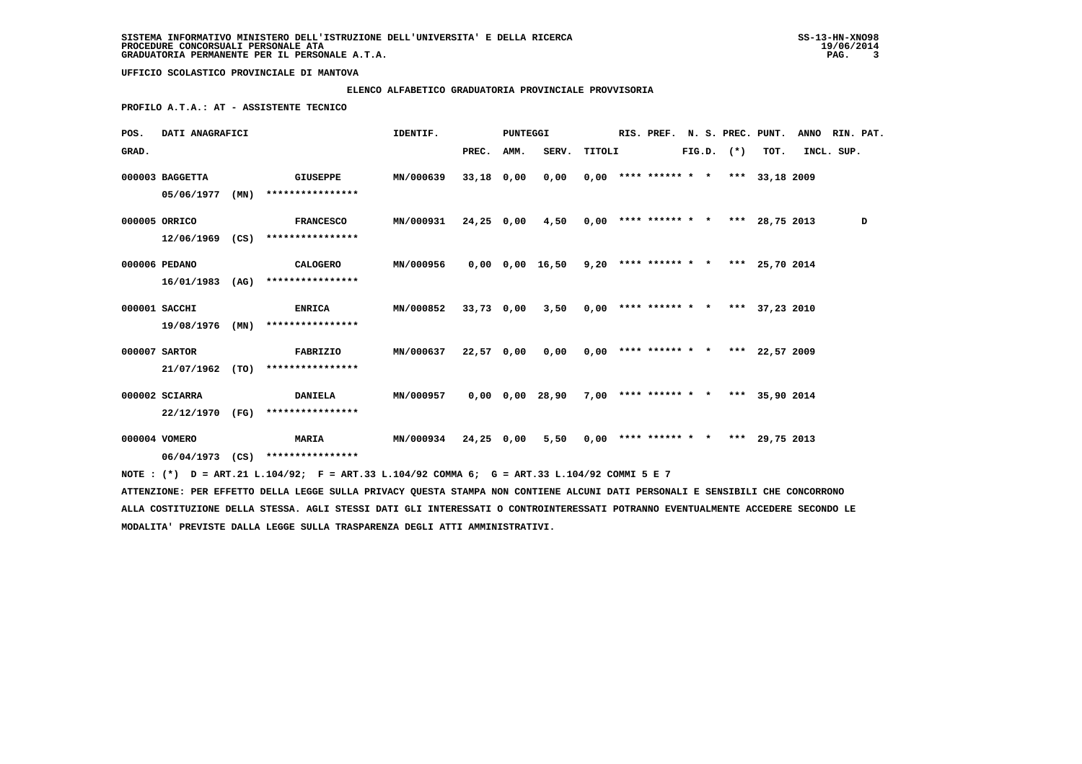# **ELENCO ALFABETICO GRADUATORIA PROVINCIALE PROVVISORIA**

 **PROFILO A.T.A.: AT - ASSISTENTE TECNICO**

| POS.  | DATI ANAGRAFICI |      |                                                                                                                                 | IDENTIF.         |            | PUNTEGGI |                                                           |        |  | RIS. PREF. |  | N. S. PREC. PUNT. |                                       | <b>ANNO</b> | RIN. PAT. |   |
|-------|-----------------|------|---------------------------------------------------------------------------------------------------------------------------------|------------------|------------|----------|-----------------------------------------------------------|--------|--|------------|--|-------------------|---------------------------------------|-------------|-----------|---|
| GRAD. |                 |      |                                                                                                                                 |                  | PREC.      | AMM.     | SERV.                                                     | TITOLI |  |            |  | $FIG.D.$ $(*)$    | TOT.                                  | INCL. SUP.  |           |   |
|       | 000003 BAGGETTA |      | <b>GIUSEPPE</b>                                                                                                                 | <b>MN/000639</b> | 33,18 0,00 |          | 0,00                                                      |        |  |            |  |                   | $0,00$ **** ****** * * *** 33,18 2009 |             |           |   |
|       | 05/06/1977      | (MN) | ****************                                                                                                                |                  |            |          |                                                           |        |  |            |  |                   |                                       |             |           |   |
|       | 000005 ORRICO   |      | <b>FRANCESCO</b>                                                                                                                | MN/000931        | 24,25 0,00 |          | $4,50$ 0,00 **** ****** * * *** 28,75 2013                |        |  |            |  |                   |                                       |             |           | D |
|       | 12/06/1969 (CS) |      | ****************                                                                                                                |                  |            |          |                                                           |        |  |            |  |                   |                                       |             |           |   |
|       | 000006 PEDANO   |      | CALOGERO                                                                                                                        | MN/000956        |            |          | $0,00$ $0,00$ $16,50$ $9,20$ **** ****** * *** 25,70 2014 |        |  |            |  |                   |                                       |             |           |   |
|       | 16/01/1983      |      | $(AG)$ *****************                                                                                                        |                  |            |          |                                                           |        |  |            |  |                   |                                       |             |           |   |
|       | 000001 SACCHI   |      | <b>ENRICA</b>                                                                                                                   | <b>MN/000852</b> | 33,73 0,00 |          | $3,50$ 0,00 **** ****** * * *** 37,23 2010                |        |  |            |  |                   |                                       |             |           |   |
|       | 19/08/1976      | (MN) | ****************                                                                                                                |                  |            |          |                                                           |        |  |            |  |                   |                                       |             |           |   |
|       | 000007 SARTOR   |      | FABRIZIO                                                                                                                        | MN/000637        | 22,57 0,00 |          | 0,00                                                      |        |  |            |  |                   | $0,00$ **** ****** * * *** 22,57 2009 |             |           |   |
|       | 21/07/1962      | (TO) | ****************                                                                                                                |                  |            |          |                                                           |        |  |            |  |                   |                                       |             |           |   |
|       | 000002 SCIARRA  |      | <b>DANIELA</b>                                                                                                                  | <b>MN/000957</b> |            |          | 0,00 0,00 28,90                                           |        |  |            |  |                   | $7,00$ **** ****** * * *** 35,90 2014 |             |           |   |
|       | 22/12/1970 (FG) |      | ****************                                                                                                                |                  |            |          |                                                           |        |  |            |  |                   |                                       |             |           |   |
|       | 000004 VOMERO   |      | <b>MARIA</b>                                                                                                                    | <b>MN/000934</b> | 24,25 0,00 |          | 5,50                                                      |        |  |            |  |                   | $0,00$ **** ****** * * *** 29,75 2013 |             |           |   |
|       |                 |      | 06/04/1973 (CS) ****************                                                                                                |                  |            |          |                                                           |        |  |            |  |                   |                                       |             |           |   |
|       |                 |      | NOTE: (*) D = ART.21 L.104/92; F = ART.33 L.104/92 COMMA 6; G = ART.33 L.104/92 COMMI 5 E 7                                     |                  |            |          |                                                           |        |  |            |  |                   |                                       |             |           |   |
|       |                 |      | ATTENZIONE: PER EFFETTO DELLA LEGGE SULLA PRIVACY QUESTA STAMPA NON CONTIENE ALCUNI DATI PERSONALI E SENSIBILI CHE CONCORRONO   |                  |            |          |                                                           |        |  |            |  |                   |                                       |             |           |   |
|       |                 |      | ALLA COSTITUZIONE DELLA STESSA. AGLI STESSI DATI GLI INTERESSATI O CONTROINTERESSATI POTRANNO EVENTUALMENTE ACCEDERE SECONDO LE |                  |            |          |                                                           |        |  |            |  |                   |                                       |             |           |   |

 **MODALITA' PREVISTE DALLA LEGGE SULLA TRASPARENZA DEGLI ATTI AMMINISTRATIVI.**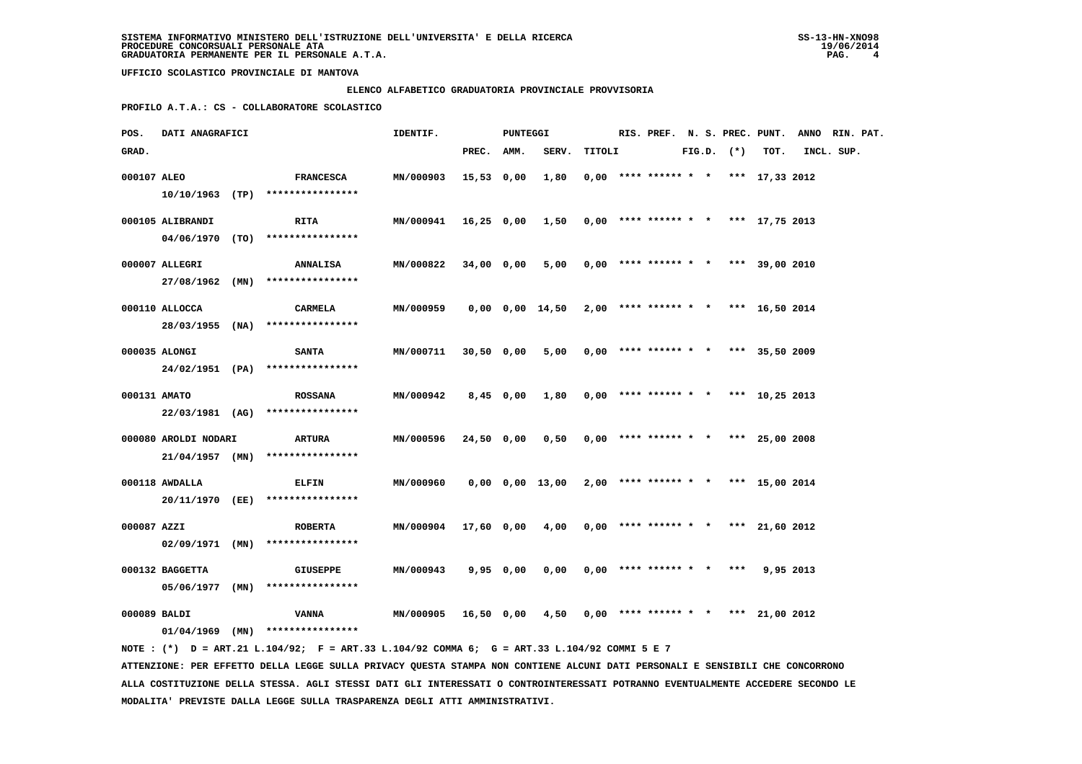### **ELENCO ALFABETICO GRADUATORIA PROVINCIALE PROVVISORIA**

 **PROFILO A.T.A.: CS - COLLABORATORE SCOLASTICO**

| POS.         | DATI ANAGRAFICI      |                                                                                             | IDENTIF.             |            | PUNTEGGI    |                                                             |        |                                       |  |                |      | RIS. PREF. N. S. PREC. PUNT. ANNO RIN. PAT. |  |
|--------------|----------------------|---------------------------------------------------------------------------------------------|----------------------|------------|-------------|-------------------------------------------------------------|--------|---------------------------------------|--|----------------|------|---------------------------------------------|--|
| GRAD.        |                      |                                                                                             |                      | PREC. AMM. |             | SERV.                                                       | TITOLI |                                       |  | $FIG.D.$ $(*)$ | TOT. | INCL. SUP.                                  |  |
| 000107 ALEO  |                      | <b>FRANCESCA</b>                                                                            | MN/000903            | 15,53 0,00 |             | 1,80                                                        |        | $0,00$ **** ****** * * *** 17,33 2012 |  |                |      |                                             |  |
|              |                      | $10/10/1963$ (TP) *****************                                                         |                      |            |             |                                                             |        |                                       |  |                |      |                                             |  |
|              | 000105 ALIBRANDI     | <b>RITA</b>                                                                                 | <b>MN/000941</b>     |            |             | 16,25 0,00 1,50                                             |        | $0,00$ **** ****** * * *** 17,75 2013 |  |                |      |                                             |  |
|              |                      | 04/06/1970 (TO) ****************                                                            |                      |            |             |                                                             |        |                                       |  |                |      |                                             |  |
|              | 000007 ALLEGRI       | <b>ANNALISA</b>                                                                             | MN/000822            | 34,00 0,00 |             | 5,00                                                        |        | $0.00$ **** ****** * * *** 39.00 2010 |  |                |      |                                             |  |
|              |                      | 27/08/1962 (MN) ****************                                                            |                      |            |             |                                                             |        |                                       |  |                |      |                                             |  |
|              | 000110 ALLOCCA       | CARMELA                                                                                     | MN/000959            |            |             | $0,00$ $0,00$ $14,50$ $2,00$ **** ****** * * *** 16,50 2014 |        |                                       |  |                |      |                                             |  |
|              |                      | 28/03/1955 (NA) ****************                                                            |                      |            |             |                                                             |        |                                       |  |                |      |                                             |  |
|              | 000035 ALONGI        | <b>SANTA</b>                                                                                | MN/000711            | 30,50 0,00 |             | 5,00                                                        |        | $0,00$ **** ****** * * *** 35,50 2009 |  |                |      |                                             |  |
|              |                      | 24/02/1951 (PA) ****************                                                            |                      |            |             |                                                             |        |                                       |  |                |      |                                             |  |
| 000131 AMATO |                      | <b>ROSSANA</b>                                                                              | MN/000942            |            | $8,45$ 0,00 | 1,80                                                        |        | $0,00$ **** ****** * * *** 10,25 2013 |  |                |      |                                             |  |
|              |                      | 22/03/1981 (AG) ****************                                                            |                      |            |             |                                                             |        |                                       |  |                |      |                                             |  |
|              | 000080 AROLDI NODARI | ARTURA                                                                                      | <b>MN/000596</b>     | 24,50 0,00 |             | 0,50                                                        |        | $0,00$ **** ****** * * *** 25,00 2008 |  |                |      |                                             |  |
|              |                      | $21/04/1957$ (MN) ****************                                                          |                      |            |             |                                                             |        |                                       |  |                |      |                                             |  |
|              | 000118 AWDALLA       | <b>ELFIN</b>                                                                                | MN/000960            |            |             | 0,00 0,00 13,00                                             |        | $2,00$ **** ****** * * *** 15,00 2014 |  |                |      |                                             |  |
|              |                      | 20/11/1970 (EE) ****************                                                            |                      |            |             |                                                             |        |                                       |  |                |      |                                             |  |
| 000087 AZZI  |                      | <b>ROBERTA</b>                                                                              | MN/000904 17,60 0,00 |            |             | 4,00                                                        |        | $0,00$ **** ****** * * *** 21,60 2012 |  |                |      |                                             |  |
|              | $02/09/1971$ (MN)    | ****************                                                                            |                      |            |             |                                                             |        |                                       |  |                |      |                                             |  |
|              | 000132 BAGGETTA      | GIUSEPPE                                                                                    | <b>MN/000943</b>     |            | 9,95 0,00   | 0,00                                                        |        | $0.00$ **** ****** * * *** 9.95 2013  |  |                |      |                                             |  |
|              | 05/06/1977 (MN)      | ****************                                                                            |                      |            |             |                                                             |        |                                       |  |                |      |                                             |  |
| 000089 BALDI |                      | VANNA                                                                                       | <b>MN/000905</b>     | 16,50 0,00 |             | 4,50                                                        |        | $0,00$ **** ****** * * *** 21,00 2012 |  |                |      |                                             |  |
|              |                      | $01/04/1969$ (MN) ****************                                                          |                      |            |             |                                                             |        |                                       |  |                |      |                                             |  |
|              |                      | NOTE: (*) D = ART.21 L.104/92; F = ART.33 L.104/92 COMMA 6; G = ART.33 L.104/92 COMMI 5 E 7 |                      |            |             |                                                             |        |                                       |  |                |      |                                             |  |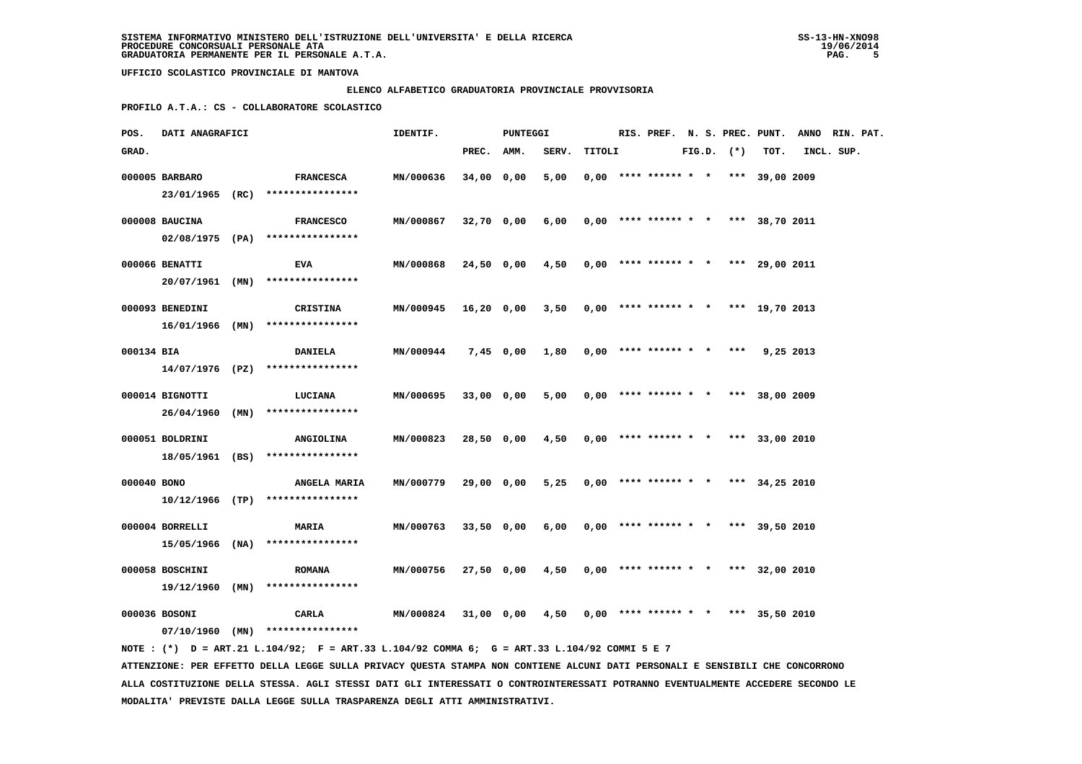### **ELENCO ALFABETICO GRADUATORIA PROVINCIALE PROVVISORIA**

 **PROFILO A.T.A.: CS - COLLABORATORE SCOLASTICO**

| POS.        | DATI ANAGRAFICI                      |                                                                                             | IDENTIF.         |            | PUNTEGGI   |       |        |                                       |  |                |           | RIS. PREF. N. S. PREC. PUNT. ANNO RIN. PAT. |  |
|-------------|--------------------------------------|---------------------------------------------------------------------------------------------|------------------|------------|------------|-------|--------|---------------------------------------|--|----------------|-----------|---------------------------------------------|--|
| GRAD.       |                                      |                                                                                             |                  | PREC. AMM. |            | SERV. | TITOLI |                                       |  | $FIG.D.$ $(*)$ | TOT.      | INCL. SUP.                                  |  |
|             | 000005 BARBARO                       | <b>FRANCESCA</b><br>23/01/1965 (RC) ****************                                        | MN/000636        | 34,00 0,00 |            | 5,00  |        | $0.00$ **** ****** * * *** 39,00 2009 |  |                |           |                                             |  |
|             | 000008 BAUCINA                       | <b>FRANCESCO</b>                                                                            | MN/000867        |            | 32,70 0,00 | 6,00  |        | $0,00$ **** ****** * * *** 38,70 2011 |  |                |           |                                             |  |
|             |                                      | 02/08/1975 (PA) ****************                                                            |                  |            |            |       |        |                                       |  |                |           |                                             |  |
|             | 000066 BENATTI                       | EVA<br>$20/07/1961$ (MN) *****************                                                  | MN/000868        |            | 24,50 0,00 | 4,50  |        | $0,00$ **** ****** * * *** 29,00 2011 |  |                |           |                                             |  |
|             | 000093 BENEDINI<br>$16/01/1966$ (MN) | <b>CRISTINA</b><br>****************                                                         | <b>MN/000945</b> | 16,20 0,00 |            | 3,50  |        | $0,00$ **** ****** * * *** 19,70 2013 |  |                |           |                                             |  |
| 000134 BIA  |                                      | <b>DANIELA</b>                                                                              | MN/000944        |            | 7,45 0,00  | 1,80  |        | $0,00$ **** ****** * *                |  | ***            | 9,25 2013 |                                             |  |
|             |                                      | $14/07/1976$ (PZ) ****************                                                          |                  |            |            |       |        |                                       |  |                |           |                                             |  |
|             | 000014 BIGNOTTI                      | LUCIANA<br>26/04/1960 (MN) ****************                                                 | MN/000695        | 33,00 0,00 |            | 5,00  |        | $0,00$ **** ****** * * *** 38,00 2009 |  |                |           |                                             |  |
|             | 000051 BOLDRINI                      | <b>ANGIOLINA</b><br>18/05/1961 (BS) ****************                                        | MN/000823        | 28,50 0,00 |            | 4,50  |        | $0.00$ **** ****** * * *** 33,00 2010 |  |                |           |                                             |  |
| 000040 BONO |                                      | <b>ANGELA MARIA</b><br>$10/12/1966$ (TP) *****************                                  | <b>MN/000779</b> | 29,00 0,00 |            | 5,25  |        | $0,00$ **** ****** * * *** 34,25 2010 |  |                |           |                                             |  |
|             | 000004 BORRELLI                      | <b>MARIA</b>                                                                                | MN/000763        |            | 33,50 0,00 | 6,00  |        | $0,00$ **** ****** * * *** 39,50 2010 |  |                |           |                                             |  |
|             |                                      | $15/05/1966$ (NA) *****************                                                         |                  |            |            |       |        |                                       |  |                |           |                                             |  |
|             | 000058 BOSCHINI<br>$19/12/1960$ (MN) | <b>ROMANA</b><br>****************                                                           | MN/000756        |            | 27,50 0,00 | 4,50  |        | $0,00$ **** ****** * * *** 32,00 2010 |  |                |           |                                             |  |
|             | 000036 BOSONI                        | CARLA<br>$07/10/1960$ (MN) *****************                                                | MN/000824        |            | 31,00 0,00 | 4,50  |        | $0,00$ **** ****** * * *** 35,50 2010 |  |                |           |                                             |  |
|             |                                      | NOTE: (*) D = ART.21 L.104/92; F = ART.33 L.104/92 COMMA 6; G = ART.33 L.104/92 COMMI 5 E 7 |                  |            |            |       |        |                                       |  |                |           |                                             |  |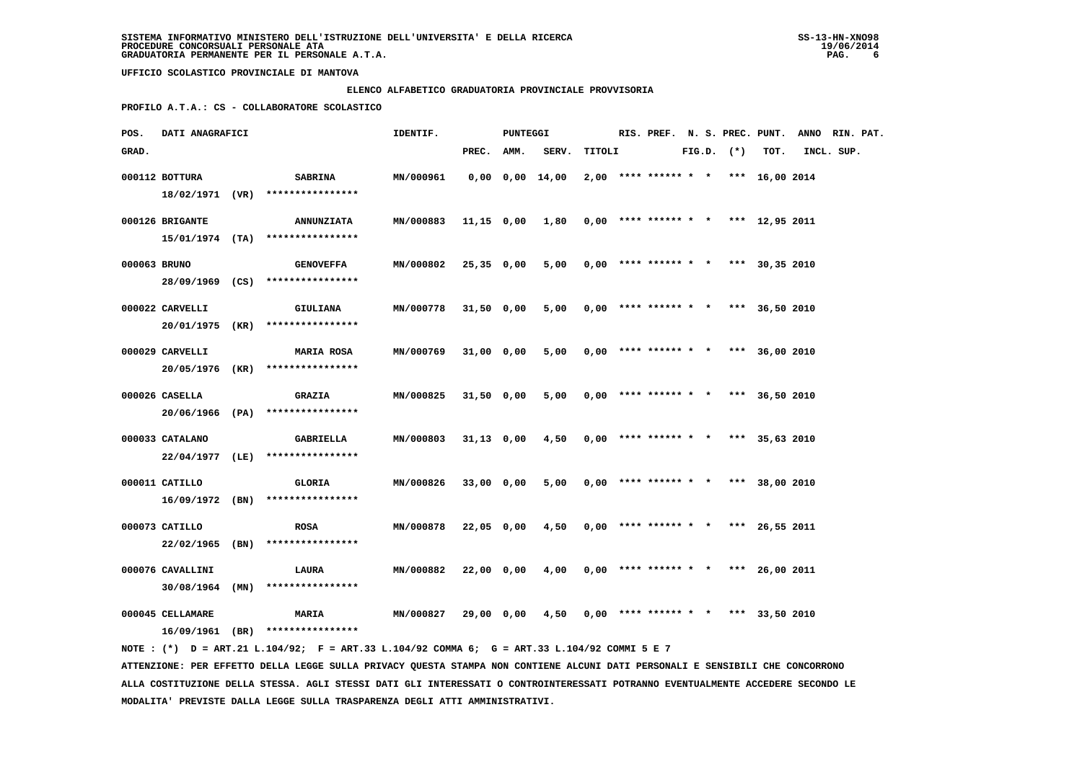### **ELENCO ALFABETICO GRADUATORIA PROVINCIALE PROVVISORIA**

 **PROFILO A.T.A.: CS - COLLABORATORE SCOLASTICO**

| POS.         | DATI ANAGRAFICI                       |                                                                                                                                   | IDENTIF.         |              | PUNTEGGI |                       |        |                        |  |                |                                       | RIS. PREF. N. S. PREC. PUNT. ANNO RIN. PAT. |  |
|--------------|---------------------------------------|-----------------------------------------------------------------------------------------------------------------------------------|------------------|--------------|----------|-----------------------|--------|------------------------|--|----------------|---------------------------------------|---------------------------------------------|--|
| GRAD.        |                                       |                                                                                                                                   |                  | PREC. AMM.   |          | SERV.                 | TITOLI |                        |  | $FIG.D.$ $(*)$ | TOT.                                  | INCL. SUP.                                  |  |
|              | 000112 BOTTURA                        | <b>SABRINA</b><br>18/02/1971 (VR) ****************                                                                                | MN/000961        |              |          | $0,00$ $0,00$ $14,00$ |        |                        |  |                | $2,00$ **** ****** * * *** 16,00 2014 |                                             |  |
|              | 000126 BRIGANTE                       | <b>ANNUNZIATA</b><br>$15/01/1974$ (TA) ****************                                                                           | <b>MN/000883</b> |              |          | 11,15 0,00 1,80       |        |                        |  |                | $0,00$ **** ****** * * *** 12,95 2011 |                                             |  |
| 000063 BRUNO |                                       | <b>GENOVEFFA</b>                                                                                                                  | MN/000802        | 25,35 0,00   |          | 5,00                  |        |                        |  |                | $0,00$ **** ****** * * *** 30,35 2010 |                                             |  |
|              | 000022 CARVELLI                       | 28/09/1969 (CS) ****************<br><b>GIULIANA</b>                                                                               | MN/000778        | 31,50 0,00   |          | 5,00                  |        |                        |  |                | $0,00$ **** ****** * * *** 36,50 2010 |                                             |  |
|              | 000029 CARVELLI                       | 20/01/1975 (KR) ****************<br><b>MARIA ROSA</b>                                                                             | MN/000769        | 31,00 0,00   |          | 5,00                  |        | $0,00$ **** ****** * * |  |                | *** 36,00 2010                        |                                             |  |
|              |                                       | 20/05/1976 (KR) ****************                                                                                                  |                  |              |          |                       |        |                        |  |                |                                       |                                             |  |
|              | 000026 CASELLA                        | <b>GRAZIA</b><br>20/06/1966 (PA) ****************                                                                                 | MN/000825        | 31,50 0,00   |          | 5,00                  |        |                        |  |                | $0,00$ **** ****** * * *** 36,50 2010 |                                             |  |
|              | 000033 CATALANO                       | <b>GABRIELLA</b><br>22/04/1977 (LE) ****************                                                                              | MN/000803        | $31,13$ 0,00 |          | 4,50                  |        |                        |  |                | $0.00$ **** ****** * * *** 35,63 2010 |                                             |  |
|              | 000011 CATILLO                        | GLORIA<br>$16/09/1972$ (BN) ****************                                                                                      | MN/000826        | 33,00 0,00   |          | 5,00                  |        |                        |  |                | $0,00$ **** ****** * * *** 38,00 2010 |                                             |  |
|              | 000073 CATILLO<br>$22/02/1965$ (BN)   | <b>ROSA</b><br>****************                                                                                                   | MN/000878        | 22,05 0,00   |          | 4,50                  |        |                        |  |                | $0,00$ **** ****** * * *** 26,55 2011 |                                             |  |
|              | 000076 CAVALLINI                      | LAURA                                                                                                                             | MN/000882        | 22,00 0,00   |          | 4,00                  |        |                        |  |                | $0.00$ **** ****** * * *** 26,00 2011 |                                             |  |
|              | $30/08/1964$ (MN)<br>000045 CELLAMARE | ****************<br><b>MARIA</b>                                                                                                  | MN/000827        | 29,00 0,00   |          | 4,50                  |        |                        |  |                | $0,00$ **** ****** * * *** 33,50 2010 |                                             |  |
|              |                                       | $16/09/1961$ (BR) ****************<br>NOTE: (*) D = ART.21 L.104/92; F = ART.33 L.104/92 COMMA 6; G = ART.33 L.104/92 COMMI 5 E 7 |                  |              |          |                       |        |                        |  |                |                                       |                                             |  |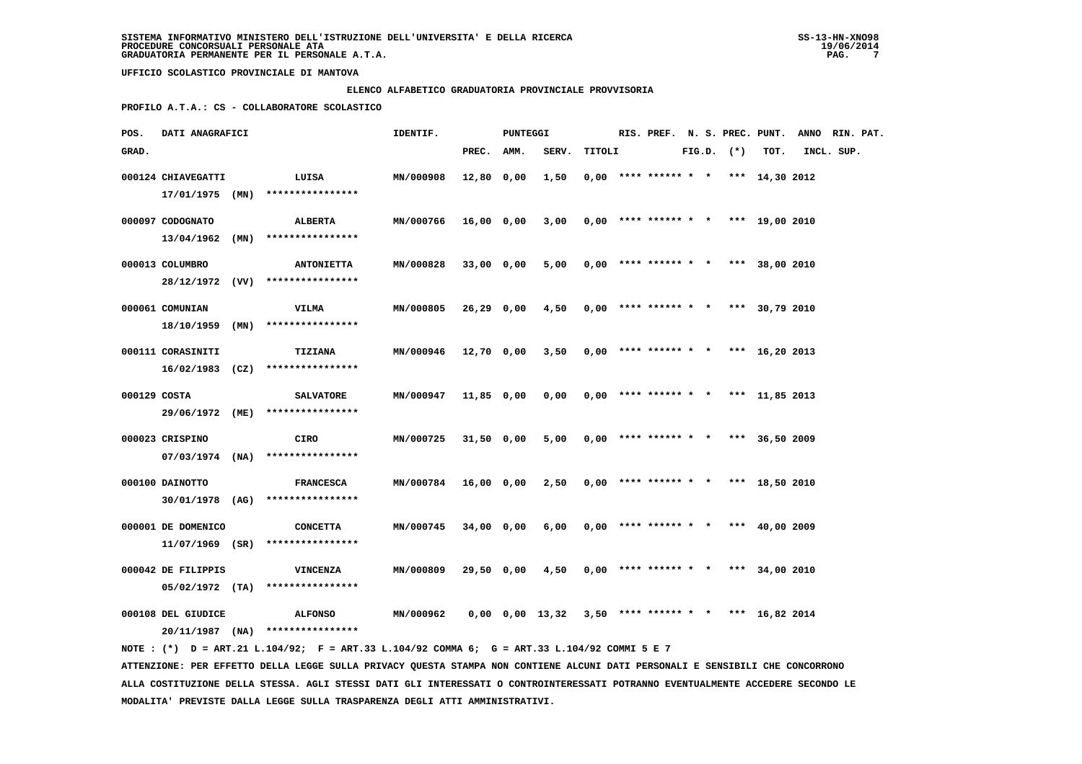### **ELENCO ALFABETICO GRADUATORIA PROVINCIALE PROVVISORIA**

 **PROFILO A.T.A.: CS - COLLABORATORE SCOLASTICO**

| POS.         | DATI ANAGRAFICI    |      |                                                                                             | IDENTIF.  |              | PUNTEGGI |                                                             |        |                        |  |                | RIS. PREF. N. S. PREC. PUNT.          | ANNO RIN. PAT. |  |
|--------------|--------------------|------|---------------------------------------------------------------------------------------------|-----------|--------------|----------|-------------------------------------------------------------|--------|------------------------|--|----------------|---------------------------------------|----------------|--|
| GRAD.        |                    |      |                                                                                             |           | PREC.        | AMM.     | SERV.                                                       | TITOLI |                        |  | $FIG.D.$ $(*)$ | TOT.                                  | INCL. SUP.     |  |
|              | 000124 CHIAVEGATTI |      | LUISA                                                                                       | MN/000908 | 12,80 0,00   |          | 1,50                                                        |        |                        |  |                | $0,00$ **** ****** * * *** 14,30 2012 |                |  |
|              | 17/01/1975 (MN)    |      | ****************                                                                            |           |              |          |                                                             |        |                        |  |                |                                       |                |  |
|              |                    |      |                                                                                             |           |              |          |                                                             |        |                        |  |                |                                       |                |  |
|              | 000097 CODOGNATO   |      | ALBERTA                                                                                     | MN/000766 | 16,00 0,00   |          | 3,00                                                        |        |                        |  |                | $0,00$ **** ****** * * *** 19,00 2010 |                |  |
|              | 13/04/1962         | (MN) | ****************                                                                            |           |              |          |                                                             |        |                        |  |                |                                       |                |  |
|              | 000013 COLUMBRO    |      | <b>ANTONIETTA</b>                                                                           | MN/000828 | 33,00 0,00   |          | 5,00                                                        |        |                        |  |                | $0,00$ **** ****** * * *** 38,00 2010 |                |  |
|              |                    |      | 28/12/1972 (VV) ****************                                                            |           |              |          |                                                             |        |                        |  |                |                                       |                |  |
|              | 000061 COMUNIAN    |      | VILMA                                                                                       | MN/000805 | 26,29 0,00   |          | 4,50                                                        |        |                        |  |                | $0,00$ **** ****** * * *** 30,79 2010 |                |  |
|              | 18/10/1959         | (MN) | ****************                                                                            |           |              |          |                                                             |        |                        |  |                |                                       |                |  |
|              |                    |      |                                                                                             |           |              |          |                                                             |        |                        |  |                |                                       |                |  |
|              | 000111 CORASINITI  |      | <b>TIZIANA</b>                                                                              | MN/000946 | 12,70 0,00   |          | 3,50                                                        |        | $0,00$ **** ****** * * |  |                | *** $16,20$ 2013                      |                |  |
|              |                    |      | $16/02/1983$ (CZ) *****************                                                         |           |              |          |                                                             |        |                        |  |                |                                       |                |  |
| 000129 COSTA |                    |      | <b>SALVATORE</b>                                                                            | MN/000947 | 11,85 0,00   |          | 0,00                                                        |        | $0,00$ **** ****** * * |  |                | *** 11,85 2013                        |                |  |
|              |                    |      | 29/06/1972 (ME) ****************                                                            |           |              |          |                                                             |        |                        |  |                |                                       |                |  |
|              |                    |      |                                                                                             |           |              |          |                                                             |        |                        |  |                |                                       |                |  |
|              | 000023 CRISPINO    |      | CIRO                                                                                        | MN/000725 | $31,50$ 0,00 |          | 5,00                                                        |        |                        |  |                | $0,00$ **** ****** * * *** 36,50 2009 |                |  |
|              |                    |      | $07/03/1974$ (NA) ****************                                                          |           |              |          |                                                             |        |                        |  |                |                                       |                |  |
|              | 000100 DAINOTTO    |      | <b>FRANCESCA</b>                                                                            | MN/000784 | 16,00 0,00   |          | 2,50                                                        |        |                        |  |                | $0,00$ **** ****** * * *** 18,50 2010 |                |  |
|              |                    |      | 30/01/1978 (AG) ****************                                                            |           |              |          |                                                             |        |                        |  |                |                                       |                |  |
|              |                    |      |                                                                                             |           |              |          |                                                             |        |                        |  |                |                                       |                |  |
|              | 000001 DE DOMENICO |      | <b>CONCETTA</b>                                                                             | MN/000745 | 34,00 0,00   |          | 6,00                                                        |        |                        |  |                | $0,00$ **** ****** * * *** 40,00 2009 |                |  |
|              | $11/07/1969$ (SR)  |      | ****************                                                                            |           |              |          |                                                             |        |                        |  |                |                                       |                |  |
|              | 000042 DE FILIPPIS |      | VINCENZA                                                                                    | MN/000809 | 29,50 0,00   |          | 4,50                                                        |        |                        |  |                | $0.00$ **** ****** * * *** 34,00 2010 |                |  |
|              | $05/02/1972$ (TA)  |      | ****************                                                                            |           |              |          |                                                             |        |                        |  |                |                                       |                |  |
|              |                    |      |                                                                                             |           |              |          |                                                             |        |                        |  |                |                                       |                |  |
|              | 000108 DEL GIUDICE |      | <b>ALFONSO</b>                                                                              | MN/000962 |              |          | $0,00$ $0,00$ $13,32$ $3,50$ **** ****** * * *** 16,82 2014 |        |                        |  |                |                                       |                |  |
|              |                    |      | $20/11/1987$ (NA) ****************                                                          |           |              |          |                                                             |        |                        |  |                |                                       |                |  |
|              |                    |      | NOTE: (*) D = ART.21 L.104/92; F = ART.33 L.104/92 COMMA 6; G = ART.33 L.104/92 COMMI 5 E 7 |           |              |          |                                                             |        |                        |  |                |                                       |                |  |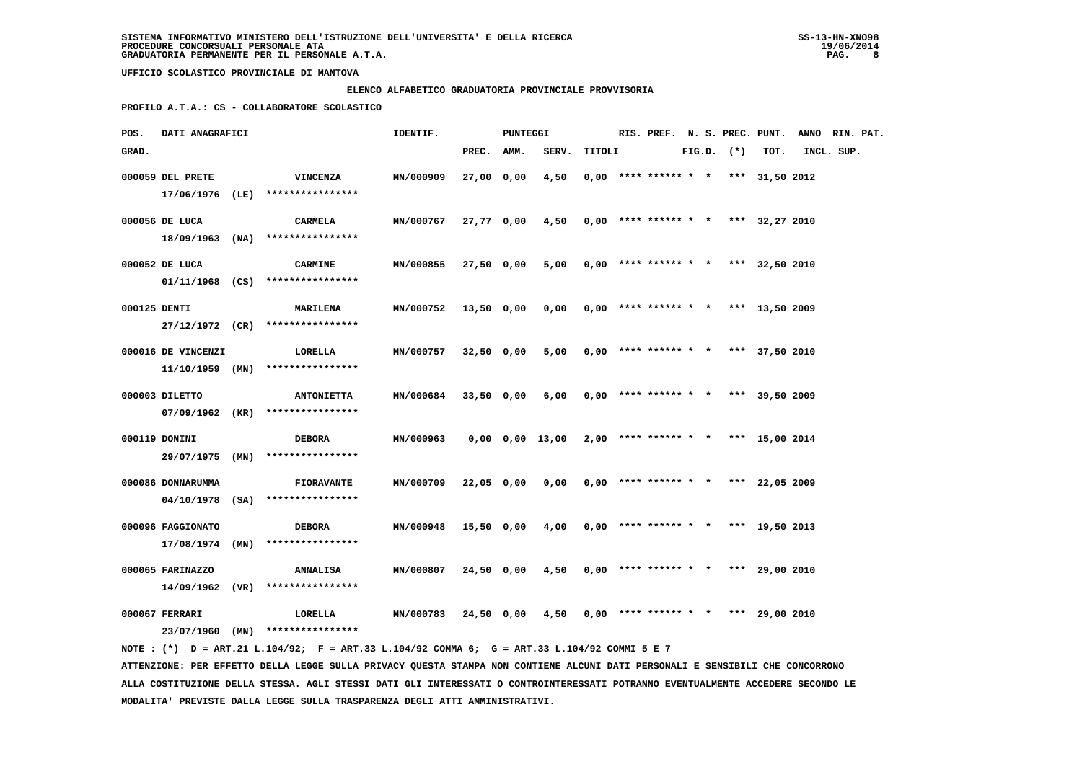### **ELENCO ALFABETICO GRADUATORIA PROVINCIALE PROVVISORIA**

 **PROFILO A.T.A.: CS - COLLABORATORE SCOLASTICO**

| POS.         | DATI ANAGRAFICI    |                                                                                             | IDENTIF.         |            | PUNTEGGI |                 |        |                                       |  |                |      | RIS. PREF. N. S. PREC. PUNT. ANNO RIN. PAT. |  |
|--------------|--------------------|---------------------------------------------------------------------------------------------|------------------|------------|----------|-----------------|--------|---------------------------------------|--|----------------|------|---------------------------------------------|--|
| GRAD.        |                    |                                                                                             |                  | PREC. AMM. |          | SERV.           | TITOLI |                                       |  | $FIG.D.$ $(*)$ | TOT. | INCL. SUP.                                  |  |
|              | 000059 DEL PRETE   | VINCENZA                                                                                    | MN/000909        | 27,00 0,00 |          | 4,50            |        | $0.00$ **** ****** * * *** 31,50 2012 |  |                |      |                                             |  |
|              |                    | 17/06/1976 (LE) ****************                                                            |                  |            |          |                 |        |                                       |  |                |      |                                             |  |
|              | 000056 DE LUCA     | <b>CARMELA</b>                                                                              | MN/000767        | 27,77 0,00 |          | 4,50            |        | $0,00$ **** ****** * * *** 32,27 2010 |  |                |      |                                             |  |
|              |                    | 18/09/1963 (NA) ****************                                                            |                  |            |          |                 |        |                                       |  |                |      |                                             |  |
|              | 000052 DE LUCA     | <b>CARMINE</b>                                                                              | <b>MN/000855</b> | 27,50 0,00 |          | 5,00            |        | $0,00$ **** ****** * * *** 32,50 2010 |  |                |      |                                             |  |
|              |                    | $01/11/1968$ (CS) ****************                                                          |                  |            |          |                 |        |                                       |  |                |      |                                             |  |
| 000125 DENTI |                    | <b>MARILENA</b>                                                                             | MN/000752        | 13,50 0,00 |          | 0,00            |        | $0,00$ **** ****** * * *** 13,50 2009 |  |                |      |                                             |  |
|              |                    | 27/12/1972 (CR) ****************                                                            |                  |            |          |                 |        |                                       |  |                |      |                                             |  |
|              | 000016 DE VINCENZI | LORELLA                                                                                     | MN/000757        | 32,50 0,00 |          | 5,00            |        | $0,00$ **** ****** * * *** 37,50 2010 |  |                |      |                                             |  |
|              |                    | $11/10/1959$ (MN) ****************                                                          |                  |            |          |                 |        |                                       |  |                |      |                                             |  |
|              | 000003 DILETTO     | <b>ANTONIETTA</b>                                                                           | MN/000684        | 33,50 0,00 |          | 6,00            |        | $0,00$ **** ****** * * *** 39,50 2009 |  |                |      |                                             |  |
|              |                    | 07/09/1962 (KR) ****************                                                            |                  |            |          |                 |        |                                       |  |                |      |                                             |  |
|              | 000119 DONINI      | <b>DEBORA</b>                                                                               | MN/000963        |            |          | 0,00 0,00 13,00 |        | $2,00$ **** ****** * * *** 15,00 2014 |  |                |      |                                             |  |
|              |                    | 29/07/1975 (MN) ****************                                                            |                  |            |          |                 |        |                                       |  |                |      |                                             |  |
|              | 000086 DONNARUMMA  | <b>FIORAVANTE</b>                                                                           | MN/000709        | 22,05 0,00 |          | 0,00            |        | $0,00$ **** ****** * * *** 22,05 2009 |  |                |      |                                             |  |
|              |                    | $04/10/1978$ (SA) *****************                                                         |                  |            |          |                 |        |                                       |  |                |      |                                             |  |
|              | 000096 FAGGIONATO  | <b>DEBORA</b>                                                                               | MN/000948        | 15,50 0,00 |          | 4,00            |        | $0,00$ **** ****** * * *** 19,50 2013 |  |                |      |                                             |  |
|              | 17/08/1974 (MN)    | ****************                                                                            |                  |            |          |                 |        |                                       |  |                |      |                                             |  |
|              | 000065 FARINAZZO   | <b>ANNALISA</b>                                                                             | MN/000807        | 24,50 0,00 |          | 4,50            |        | $0,00$ **** ****** * * *** 29,00 2010 |  |                |      |                                             |  |
|              | 14/09/1962 (VR)    | ****************                                                                            |                  |            |          |                 |        |                                       |  |                |      |                                             |  |
|              | 000067 FERRARI     | LORELLA                                                                                     | MIN/000783       | 24,50 0,00 |          | 4,50            |        | $0,00$ **** ****** * * *** 29,00 2010 |  |                |      |                                             |  |
|              |                    | 23/07/1960 (MN) ****************                                                            |                  |            |          |                 |        |                                       |  |                |      |                                             |  |
|              |                    | NOTE: (*) D = ART.21 L.104/92; F = ART.33 L.104/92 COMMA 6; G = ART.33 L.104/92 COMMI 5 E 7 |                  |            |          |                 |        |                                       |  |                |      |                                             |  |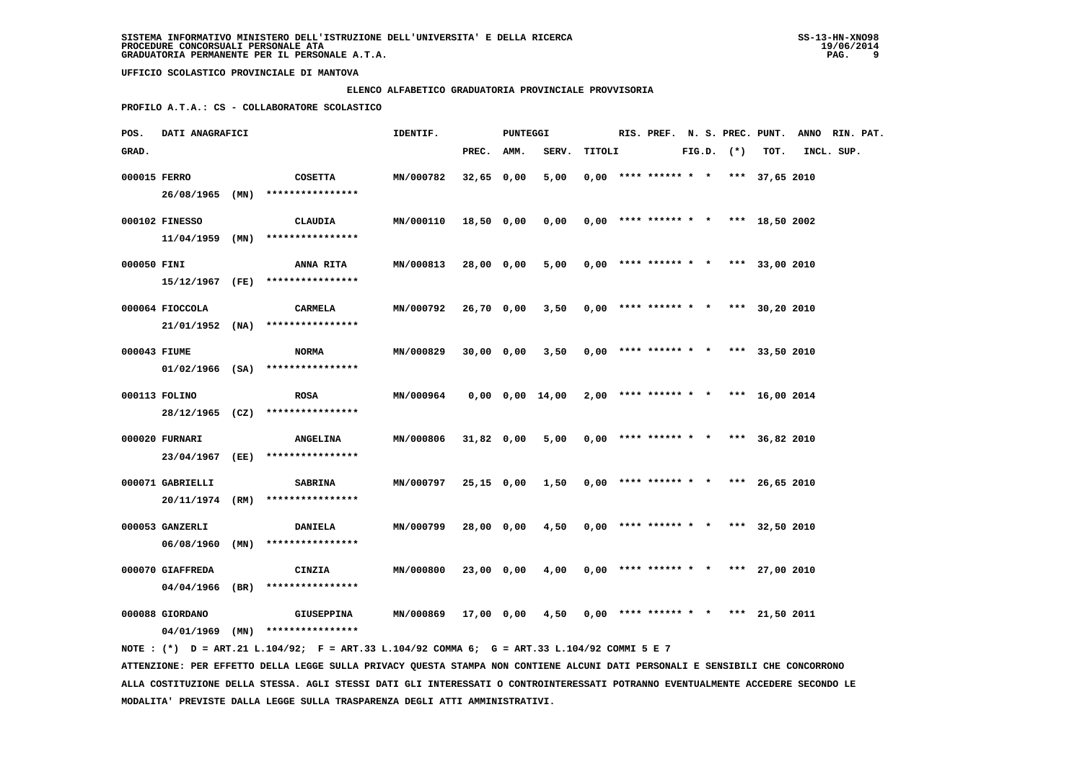### **ELENCO ALFABETICO GRADUATORIA PROVINCIALE PROVVISORIA**

 **PROFILO A.T.A.: CS - COLLABORATORE SCOLASTICO**

| POS.         | DATI ANAGRAFICI  |                                                                                                                                 | IDENTIF.         |              | PUNTEGGI |                                                     |        |                                       |  |                |      | RIS. PREF. N. S. PREC. PUNT. ANNO RIN. PAT. |  |
|--------------|------------------|---------------------------------------------------------------------------------------------------------------------------------|------------------|--------------|----------|-----------------------------------------------------|--------|---------------------------------------|--|----------------|------|---------------------------------------------|--|
| GRAD.        |                  |                                                                                                                                 |                  | PREC. AMM.   |          | SERV.                                               | TITOLI |                                       |  | $FIG.D.$ $(*)$ | TOT. | INCL. SUP.                                  |  |
| 000015 FERRO |                  | <b>COSETTA</b><br>26/08/1965 (MN) ****************                                                                              | MN/000782        | $32,65$ 0,00 |          | 5,00                                                |        | $0,00$ **** ****** * * *** 37,65 2010 |  |                |      |                                             |  |
|              | 000102 FINESSO   | CLAUDIA                                                                                                                         | MN/000110        | 18,50 0,00   |          | 0,00                                                |        | $0,00$ **** ****** * * *** 18,50 2002 |  |                |      |                                             |  |
|              |                  | $11/04/1959$ (MN) ****************                                                                                              |                  |              |          |                                                     |        |                                       |  |                |      |                                             |  |
| 000050 FINI  |                  | <b>ANNA RITA</b><br>15/12/1967 (FE) ****************                                                                            | MN/000813        | 28,00 0,00   |          | 5,00                                                |        | $0,00$ **** ****** * * *** 33,00 2010 |  |                |      |                                             |  |
|              | 000064 FIOCCOLA  | <b>CARMELA</b><br>$21/01/1952$ (NA) ****************                                                                            | MN/000792        | 26,70 0,00   |          | $3,50$ 0,00 **** ****** * * *** 30,20 2010          |        |                                       |  |                |      |                                             |  |
| 000043 FIUME |                  | <b>NORMA</b>                                                                                                                    | MN/000829        | 30,00 0,00   |          | 3,50                                                |        | $0,00$ **** ****** * * *** 33,50 2010 |  |                |      |                                             |  |
|              |                  | $01/02/1966$ (SA) ****************                                                                                              |                  |              |          |                                                     |        |                                       |  |                |      |                                             |  |
|              | 000113 FOLINO    | <b>ROSA</b><br>28/12/1965 (CZ) ****************                                                                                 | <b>MN/000964</b> |              |          | 0,00 0,00 14,00                                     |        | $2,00$ **** ****** * * *** 16,00 2014 |  |                |      |                                             |  |
|              | 000020 FURNARI   | <b>ANGELINA</b><br>23/04/1967 (EE) ****************                                                                             | MN/000806        | 31,82 0,00   |          | 5,00                                                |        | $0,00$ **** ****** * * *** 36,82 2010 |  |                |      |                                             |  |
|              | 000071 GABRIELLI | <b>SABRINA</b>                                                                                                                  | MN/000797        | 25,15 0,00   |          | 1,50                                                |        | $0,00$ **** ****** * * *** 26,65 2010 |  |                |      |                                             |  |
|              |                  | 20/11/1974 (RM) ****************                                                                                                |                  |              |          |                                                     |        |                                       |  |                |      |                                             |  |
|              | 000053 GANZERLI  | <b>DANIELA</b><br>06/08/1960 (MN) ****************                                                                              | MN/000799        | 28,00 0,00   |          | 4,50                                                |        | $0,00$ **** ****** * * *** 32,50 2010 |  |                |      |                                             |  |
|              | 000070 GIAFFREDA | CINZIA<br>$04/04/1966$ (BR) ****************                                                                                    | MN/000800        | 23,00 0,00   |          | 4,00                                                |        | $0,00$ **** ****** * * *** 27,00 2010 |  |                |      |                                             |  |
|              | 000088 GIORDANO  | <b>GIUSEPPINA</b>                                                                                                               | MN/000869        |              |          | $17,00$ 0,00 4,50 0,00 **** ****** * *** 21,50 2011 |        |                                       |  |                |      |                                             |  |
|              |                  | 04/01/1969 (MN) ****************<br>NOTE: (*) D = ART.21 L.104/92; F = ART.33 L.104/92 COMMA 6; G = ART.33 L.104/92 COMMI 5 E 7 |                  |              |          |                                                     |        |                                       |  |                |      |                                             |  |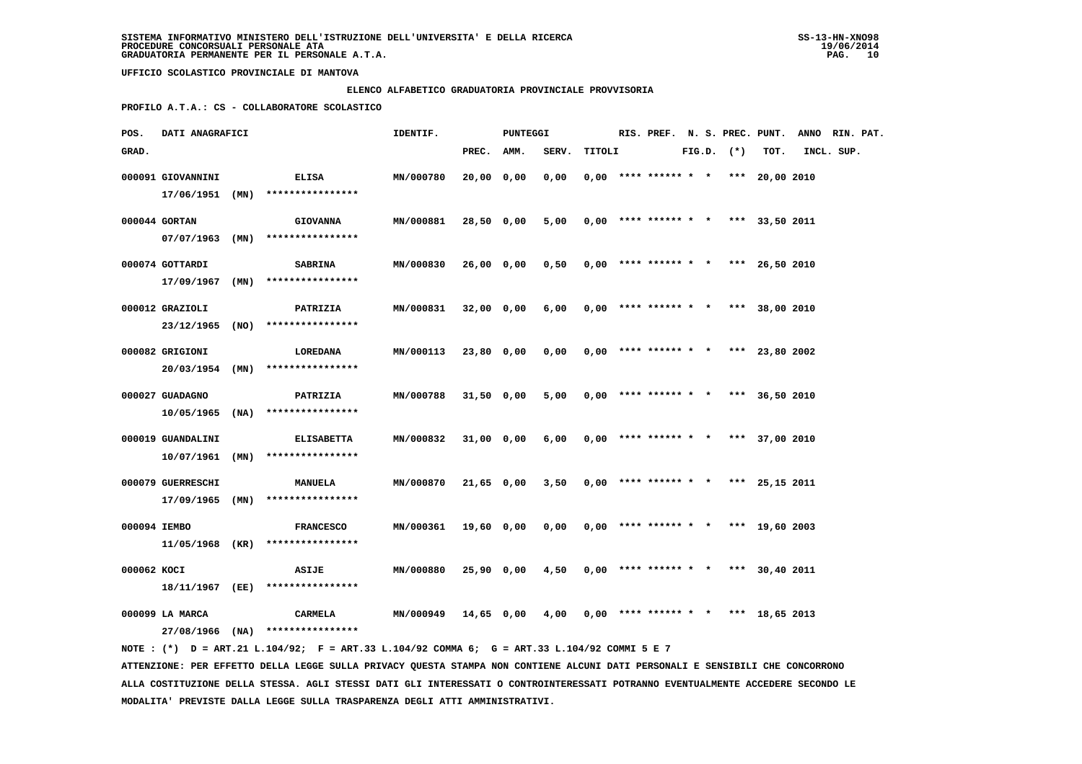### **ELENCO ALFABETICO GRADUATORIA PROVINCIALE PROVVISORIA**

 **PROFILO A.T.A.: CS - COLLABORATORE SCOLASTICO**

| POS.         | DATI ANAGRAFICI                                         |      |                                                          | IDENTIF.         |              | PUNTEGGI |       |        | RIS. PREF. N. S. PREC. PUNT.          |  |                |                | ANNO RIN. PAT. |  |
|--------------|---------------------------------------------------------|------|----------------------------------------------------------|------------------|--------------|----------|-------|--------|---------------------------------------|--|----------------|----------------|----------------|--|
| GRAD.        |                                                         |      |                                                          |                  | PREC.        | AMM.     | SERV. | TITOLI |                                       |  | $FIG.D.$ $(*)$ | TOT.           | INCL. SUP.     |  |
|              | 000091 GIOVANNINI<br>17/06/1951 (MN)                    |      | <b>ELISA</b><br>****************                         | MN/000780        | 20,00 0,00   |          | 0,00  |        | $0.00$ **** ****** * *                |  |                | *** 20,00 2010 |                |  |
|              | 000044 GORTAN<br>$07/07/1963$ (MN)                      |      | <b>GIOVANNA</b><br>****************                      | MN/000881        | 28,50 0,00   |          | 5,00  |        | $0,00$ **** ****** * * *** 33,50 2011 |  |                |                |                |  |
|              | 000074 GOTTARDI<br>17/09/1967                           | (MN) | <b>SABRINA</b><br>****************                       | MN/000830        | 26,00 0,00   |          | 0,50  |        | $0,00$ **** ****** * *                |  |                | *** 26,50 2010 |                |  |
|              | 000012 GRAZIOLI<br>23/12/1965                           | (NO) | PATRIZIA<br>****************                             | MN/000831        | 32,00 0,00   |          | 6,00  |        | $0,00$ **** ****** * * *** 38,00 2010 |  |                |                |                |  |
|              | 000082 GRIGIONI<br>20/03/1954 (MN)                      |      | LOREDANA<br>****************                             | MN/000113        | 23,80 0,00   |          | 0,00  |        | $0.00$ **** ****** * * *** 23,80 2002 |  |                |                |                |  |
|              | 000027 GUADAGNO<br>10/05/1965                           | (NA) | PATRIZIA<br>****************                             | MN/000788        | $31,50$ 0,00 |          | 5,00  |        | $0,00$ **** ****** * *                |  |                | *** 36,50 2010 |                |  |
|              | 000019 GUANDALINI<br>10/07/1961                         | (MN) | <b>ELISABETTA</b><br>****************                    | MN/000832        | 31,00 0,00   |          | 6,00  |        | $0,00$ **** ****** * *                |  |                | *** 37,00 2010 |                |  |
|              | 000079 GUERRESCHI                                       |      | <b>MANUELA</b>                                           | MN/000870        | $21,65$ 0,00 |          | 3,50  |        | $0.00$ **** ****** * *                |  |                | *** 25,15 2011 |                |  |
| 000094 IEMBO | $17/09/1965$ (MN)                                       |      | ****************<br><b>FRANCESCO</b><br>**************** | MN/000361        | 19,60 0,00   |          | 0,00  |        | $0,00$ **** ****** * *                |  |                | *** 19,60 2003 |                |  |
| 000062 KOCI  | 11/05/1968 (KR)                                         |      | ASIJE                                                    | MN/000880        | $25,90$ 0,00 |          | 4,50  |        | $0,00$ **** ****** * * *** 30,40 2011 |  |                |                |                |  |
|              | 18/11/1967 (EE)<br>000099 LA MARCA<br>$27/08/1966$ (NA) |      | ****************<br>CARMELA<br>****************          | <b>MN/000949</b> | 14,65 0,00   |          | 4,00  |        | $0,00$ **** ****** * *                |  |                | *** 18,65 2013 |                |  |

 **NOTE : (\*) D = ART.21 L.104/92; F = ART.33 L.104/92 COMMA 6; G = ART.33 L.104/92 COMMI 5 E 7 ATTENZIONE: PER EFFETTO DELLA LEGGE SULLA PRIVACY QUESTA STAMPA NON CONTIENE ALCUNI DATI PERSONALI E SENSIBILI CHE CONCORRONO ALLA COSTITUZIONE DELLA STESSA. AGLI STESSI DATI GLI INTERESSATI O CONTROINTERESSATI POTRANNO EVENTUALMENTE ACCEDERE SECONDO LE MODALITA' PREVISTE DALLA LEGGE SULLA TRASPARENZA DEGLI ATTI AMMINISTRATIVI.**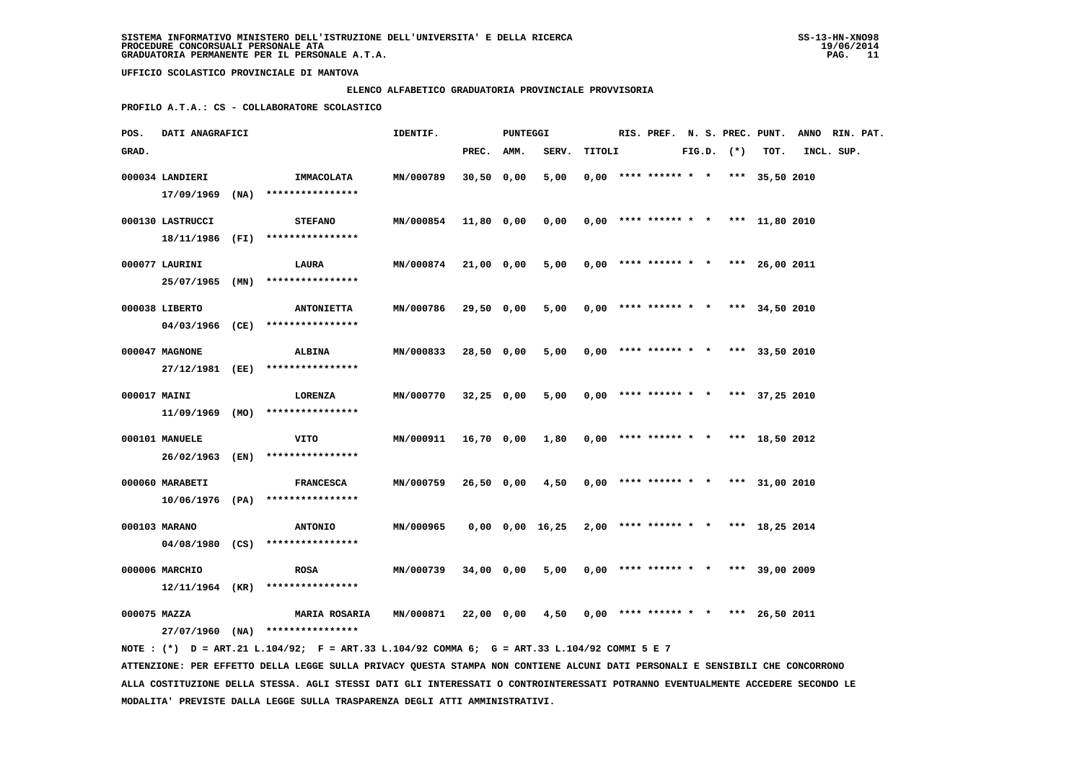### **ELENCO ALFABETICO GRADUATORIA PROVINCIALE PROVVISORIA**

 **PROFILO A.T.A.: CS - COLLABORATORE SCOLASTICO**

| POS.         | DATI ANAGRAFICI  |                                                                                             | IDENTIF.         |              | PUNTEGGI |                 |        | RIS. PREF. N. S. PREC. PUNT.          |  |              |                | ANNO RIN. PAT. |  |
|--------------|------------------|---------------------------------------------------------------------------------------------|------------------|--------------|----------|-----------------|--------|---------------------------------------|--|--------------|----------------|----------------|--|
| GRAD.        |                  |                                                                                             |                  | PREC.        | AMM.     | SERV.           | TITOLI |                                       |  | FIG.D. $(*)$ | TOT.           | INCL. SUP.     |  |
|              | 000034 LANDIERI  | IMMACOLATA                                                                                  | MN/000789        | $30,50$ 0,00 |          | 5,00            |        | $0,00$ **** ****** * * *** 35,50 2010 |  |              |                |                |  |
|              | 17/09/1969 (NA)  | ****************                                                                            |                  |              |          |                 |        |                                       |  |              |                |                |  |
|              | 000130 LASTRUCCI | <b>STEFANO</b>                                                                              | <b>MN/000854</b> | 11,80 0,00   |          | 0,00            |        | $0.00$ **** ****** * * *** 11,80 2010 |  |              |                |                |  |
|              |                  | 18/11/1986 (FI) ****************                                                            |                  |              |          |                 |        |                                       |  |              |                |                |  |
|              | 000077 LAURINI   | LAURA                                                                                       | <b>MN/000874</b> | 21,00 0,00   |          | 5,00            |        | $0,00$ **** ****** * * *** 26,00 2011 |  |              |                |                |  |
|              | 25/07/1965 (MN)  | ****************                                                                            |                  |              |          |                 |        |                                       |  |              |                |                |  |
|              | 000038 LIBERTO   | <b>ANTONIETTA</b>                                                                           | MN/000786        | 29,50 0,00   |          | 5,00            |        | $0,00$ **** ****** * * *** 34,50 2010 |  |              |                |                |  |
|              | 04/03/1966 (CE)  | ****************                                                                            |                  |              |          |                 |        |                                       |  |              |                |                |  |
|              | 000047 MAGNONE   | <b>ALBINA</b>                                                                               | MN/000833        | 28,50 0,00   |          | 5,00            |        | $0,00$ **** ****** * *                |  |              | *** 33,50 2010 |                |  |
|              |                  | 27/12/1981 (EE) ****************                                                            |                  |              |          |                 |        |                                       |  |              |                |                |  |
| 000017 MAINI |                  | <b>LORENZA</b>                                                                              | MN/000770        | $32,25$ 0,00 |          | 5,00            |        | $0.00$ **** ****** * * *** 37.25 2010 |  |              |                |                |  |
|              |                  | $11/09/1969$ (MO) ****************                                                          |                  |              |          |                 |        |                                       |  |              |                |                |  |
|              | 000101 MANUELE   | VITO                                                                                        | MN/000911        | 16,70 0,00   |          | 1,80            |        | $0,00$ **** ****** * * *** 18,50 2012 |  |              |                |                |  |
|              |                  | 26/02/1963 (EN) ****************                                                            |                  |              |          |                 |        |                                       |  |              |                |                |  |
|              | 000060 MARABETI  | <b>FRANCESCA</b>                                                                            | MN/000759        | 26,50 0,00   |          | 4,50            |        | $0,00$ **** ****** * * *** 31,00 2010 |  |              |                |                |  |
|              |                  | $10/06/1976$ (PA) ****************                                                          |                  |              |          |                 |        |                                       |  |              |                |                |  |
|              | 000103 MARANO    | <b>ANTONIO</b>                                                                              | MN/000965        |              |          | 0,00 0,00 16,25 |        | $2,00$ **** ****** * * *** 18,25 2014 |  |              |                |                |  |
|              | 04/08/1980 (CS)  | ****************                                                                            |                  |              |          |                 |        |                                       |  |              |                |                |  |
|              | 000006 MARCHIO   | <b>ROSA</b>                                                                                 | MN/000739        | 34,00 0,00   |          | 5,00            |        | $0,00$ **** ****** * * *** 39,00 2009 |  |              |                |                |  |
|              | 12/11/1964 (KR)  | ****************                                                                            |                  |              |          |                 |        |                                       |  |              |                |                |  |
| 000075 MAZZA |                  | <b>MARIA ROSARIA</b>                                                                        | MN/000871        | 22,00 0,00   |          | 4,50            |        | $0,00$ **** ****** * * *** 26,50 2011 |  |              |                |                |  |
|              |                  | $27/07/1960$ (NA) ****************                                                          |                  |              |          |                 |        |                                       |  |              |                |                |  |
|              |                  | NOTE: (*) D = ART.21 L.104/92; F = ART.33 L.104/92 COMMA 6; G = ART.33 L.104/92 COMMI 5 E 7 |                  |              |          |                 |        |                                       |  |              |                |                |  |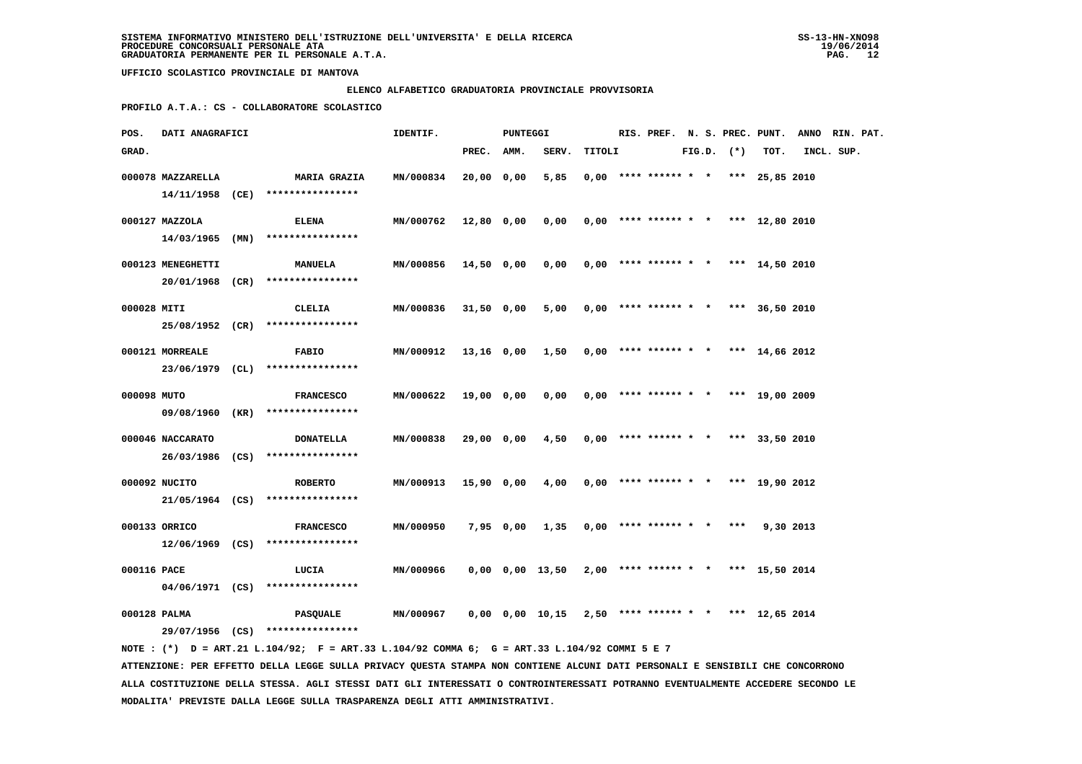### **ELENCO ALFABETICO GRADUATORIA PROVINCIALE PROVVISORIA**

 **PROFILO A.T.A.: CS - COLLABORATORE SCOLASTICO**

| POS.         | DATI ANAGRAFICI                   |  |                                                         | IDENTIF.         |            | <b>PUNTEGGI</b> |                                                             |        |                                       |  |                |           | RIS. PREF. N. S. PREC. PUNT. ANNO RIN. PAT. |  |
|--------------|-----------------------------------|--|---------------------------------------------------------|------------------|------------|-----------------|-------------------------------------------------------------|--------|---------------------------------------|--|----------------|-----------|---------------------------------------------|--|
| GRAD.        |                                   |  |                                                         |                  | PREC. AMM. |                 | SERV.                                                       | TITOLI |                                       |  | $FIG.D.$ $(*)$ | TOT.      | INCL. SUP.                                  |  |
|              | 000078 MAZZARELLA                 |  | <b>MARIA GRAZIA</b><br>14/11/1958 (CE) **************** | MN/000834        | 20,00 0,00 |                 | 5,85                                                        |        | $0,00$ **** ****** * * *** 25,85 2010 |  |                |           |                                             |  |
|              | 000127 MAZZOLA<br>14/03/1965 (MN) |  | <b>ELENA</b><br>****************                        | MN/000762        | 12,80 0,00 |                 | 0.00                                                        |        | $0.00$ **** ****** * * *** 12.80 2010 |  |                |           |                                             |  |
|              | 000123 MENEGHETTI                 |  | <b>MANUELA</b><br>20/01/1968 (CR) ****************      | MN/000856        | 14,50 0,00 |                 | 0,00                                                        |        | $0.00$ **** ****** * * *** 14,50 2010 |  |                |           |                                             |  |
| 000028 MITI  |                                   |  | CLELIA<br>25/08/1952 (CR) ****************              | MN/000836        | 31,50 0,00 |                 | 5,00                                                        |        | $0,00$ **** ****** * * *** 36,50 2010 |  |                |           |                                             |  |
|              | 000121 MORREALE                   |  | FABIO<br>23/06/1979 (CL) *****************              | MN/000912        |            |                 | 13,16 0,00 1,50                                             |        | $0.00$ **** ****** * * *** 14.66 2012 |  |                |           |                                             |  |
| 000098 MUTO  |                                   |  | <b>FRANCESCO</b><br>09/08/1960 (KR) ****************    | MN/000622        | 19,00 0,00 |                 | 0,00                                                        |        | $0,00$ **** ****** * * *** 19,00 2009 |  |                |           |                                             |  |
|              | 000046 NACCARATO                  |  | <b>DONATELLA</b>                                        | MN/000838        | 29,00 0,00 |                 | 4,50                                                        |        | $0,00$ **** ****** * * *** 33,50 2010 |  |                |           |                                             |  |
|              | 000092 NUCITO                     |  | 26/03/1986 (CS) ****************<br><b>ROBERTO</b>      | <b>MN/000913</b> | 15,90 0,00 |                 | 4,00 0,00 **** ****** * * *** 19,90 2012                    |        |                                       |  |                |           |                                             |  |
|              | 000133 ORRICO                     |  | 21/05/1964 (CS) ****************<br><b>FRANCESCO</b>    | MN/000950        |            | 7,95 0,00       | 1,35                                                        |        | $0,00$ **** ****** * * ***            |  |                | 9,30 2013 |                                             |  |
| 000116 PACE  |                                   |  | 12/06/1969 (CS) ****************<br>LUCIA               | MN/000966        |            |                 | 0,00 0,00 13,50                                             |        | $2,00$ **** ****** * * *** 15,50 2014 |  |                |           |                                             |  |
| 000128 PALMA |                                   |  | $04/06/1971$ (CS) *****************<br><b>PASQUALE</b>  | MN/000967        |            |                 | $0,00$ $0,00$ $10,15$ $2,50$ **** ****** * * *** 12,65 2014 |        |                                       |  |                |           |                                             |  |
|              |                                   |  | 29/07/1956 (CS) ****************                        |                  |            |                 |                                                             |        |                                       |  |                |           |                                             |  |

 **NOTE : (\*) D = ART.21 L.104/92; F = ART.33 L.104/92 COMMA 6; G = ART.33 L.104/92 COMMI 5 E 7 ATTENZIONE: PER EFFETTO DELLA LEGGE SULLA PRIVACY QUESTA STAMPA NON CONTIENE ALCUNI DATI PERSONALI E SENSIBILI CHE CONCORRONO ALLA COSTITUZIONE DELLA STESSA. AGLI STESSI DATI GLI INTERESSATI O CONTROINTERESSATI POTRANNO EVENTUALMENTE ACCEDERE SECONDO LE MODALITA' PREVISTE DALLA LEGGE SULLA TRASPARENZA DEGLI ATTI AMMINISTRATIVI.**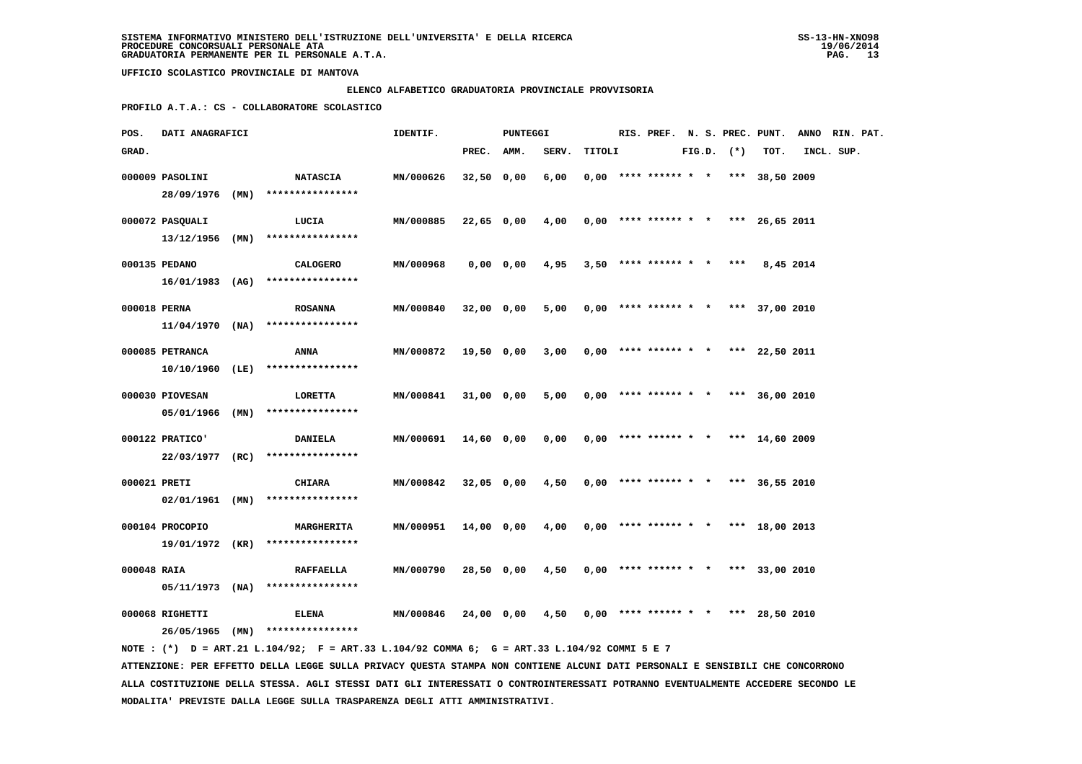### **ELENCO ALFABETICO GRADUATORIA PROVINCIALE PROVVISORIA**

 **PROFILO A.T.A.: CS - COLLABORATORE SCOLASTICO**

| POS.         | DATI ANAGRAFICI                    |  |                                                          | IDENTIF.  |              | <b>PUNTEGGI</b> |                                          |        |  | RIS. PREF. N. S. PREC. PUNT.          |  |  |                | ANNO RIN. PAT. |            |  |
|--------------|------------------------------------|--|----------------------------------------------------------|-----------|--------------|-----------------|------------------------------------------|--------|--|---------------------------------------|--|--|----------------|----------------|------------|--|
| GRAD.        |                                    |  |                                                          |           | PREC. AMM.   |                 | SERV.                                    | TITOLI |  |                                       |  |  | $FIG.D.$ $(*)$ | TOT.           | INCL. SUP. |  |
|              | 000009 PASOLINI                    |  | <b>NATASCIA</b><br>28/09/1976 (MN) ****************      | MN/000626 | $32,50$ 0,00 |                 | 6,00                                     |        |  | $0,00$ **** ****** * * *** 38,50 2009 |  |  |                |                |            |  |
|              | 000072 PASQUALI                    |  | LUCIA                                                    | MN/000885 |              | 22,65 0,00      | 4,00 0,00 **** ****** * * *** 26,65 2011 |        |  |                                       |  |  |                |                |            |  |
|              | $13/12/1956$ (MN)<br>000135 PEDANO |  | ****************<br><b>CALOGERO</b>                      | MN/000968 |              | 0,00 0,00       | 4,95                                     |        |  | $3,50$ **** ****** * *                |  |  | ***            | 8,45 2014      |            |  |
| 000018 PERNA |                                    |  | $16/01/1983$ (AG) ****************<br><b>ROSANNA</b>     | MN/000840 | 32,00 0,00   |                 | 5,00                                     |        |  | $0,00$ **** ****** * * *** 37,00 2010 |  |  |                |                |            |  |
|              |                                    |  | $11/04/1970$ (NA) ****************                       |           |              |                 |                                          |        |  |                                       |  |  |                |                |            |  |
|              | 000085 PETRANCA<br>10/10/1960 (LE) |  | ANNA<br>****************                                 | MN/000872 | 19,50 0,00   |                 | 3,00                                     |        |  | $0,00$ **** ****** * * *** 22,50 2011 |  |  |                |                |            |  |
|              | 000030 PIOVESAN<br>05/01/1966 (MN) |  | LORETTA<br>****************                              | MN/000841 | 31,00 0,00   |                 | 5,00                                     |        |  | $0.00$ **** ****** * * *** 36.00 2010 |  |  |                |                |            |  |
|              | 000122 PRATICO'                    |  | <b>DANIELA</b><br>22/03/1977 (RC) ****************       | MN/000691 | 14,60 0,00   |                 | 0,00                                     |        |  | $0,00$ **** ****** * * *** 14,60 2009 |  |  |                |                |            |  |
| 000021 PRETI | 02/01/1961 (MN)                    |  | <b>CHIARA</b><br>****************                        | MN/000842 | 32,05 0,00   |                 | 4,50                                     |        |  | $0,00$ **** ****** * * *** 36,55 2010 |  |  |                |                |            |  |
|              | 000104 PROCOPIO                    |  | <b>MARGHERITA</b><br>$19/01/1972$ (KR) ***************** | MN/000951 |              | 14,00 0,00      | 4,00                                     |        |  | $0,00$ **** ****** * * *** 18,00 2013 |  |  |                |                |            |  |
| 000048 RAIA  |                                    |  | <b>RAFFAELLA</b><br>$05/11/1973$ (NA) ****************   | MN/000790 |              | 28,50 0,00      | 4,50                                     |        |  | $0.00$ **** ****** * * *** 33,00 2010 |  |  |                |                |            |  |
|              | 000068 RIGHETTI                    |  | <b>ELENA</b><br>26/05/1965 (MN) ****************         | MN/000846 | 24,00 0,00   |                 | 4,50                                     |        |  | $0,00$ **** ****** * * *** 28,50 2010 |  |  |                |                |            |  |
|              |                                    |  |                                                          |           |              |                 |                                          |        |  |                                       |  |  |                |                |            |  |

 **NOTE : (\*) D = ART.21 L.104/92; F = ART.33 L.104/92 COMMA 6; G = ART.33 L.104/92 COMMI 5 E 7 ATTENZIONE: PER EFFETTO DELLA LEGGE SULLA PRIVACY QUESTA STAMPA NON CONTIENE ALCUNI DATI PERSONALI E SENSIBILI CHE CONCORRONO ALLA COSTITUZIONE DELLA STESSA. AGLI STESSI DATI GLI INTERESSATI O CONTROINTERESSATI POTRANNO EVENTUALMENTE ACCEDERE SECONDO LE MODALITA' PREVISTE DALLA LEGGE SULLA TRASPARENZA DEGLI ATTI AMMINISTRATIVI.**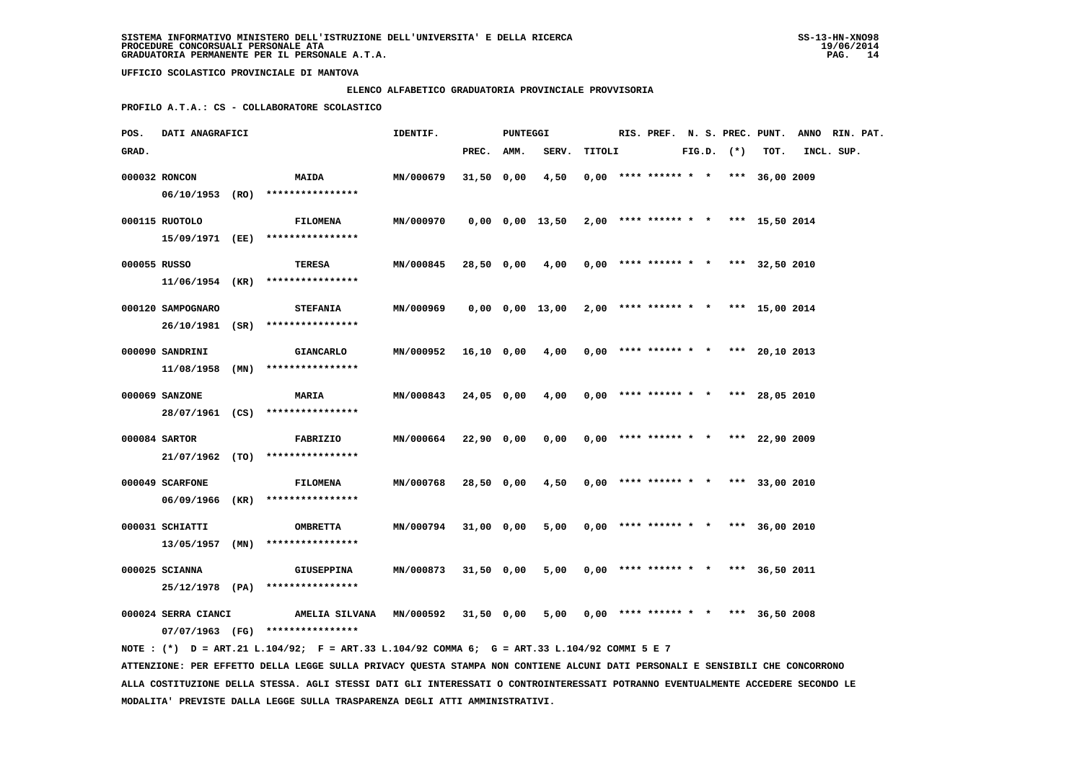### **ELENCO ALFABETICO GRADUATORIA PROVINCIALE PROVVISORIA**

 **PROFILO A.T.A.: CS - COLLABORATORE SCOLASTICO**

| POS.         | <b>DATI ANAGRAFICI</b> |  |                                                                                              | IDENTIF.<br>PUNTEGGI                                          |              |  |                                                             |        |  |  |  |  |                |                                       | RIS. PREF. N. S. PREC. PUNT. ANNO RIN. PAT. |  |  |
|--------------|------------------------|--|----------------------------------------------------------------------------------------------|---------------------------------------------------------------|--------------|--|-------------------------------------------------------------|--------|--|--|--|--|----------------|---------------------------------------|---------------------------------------------|--|--|
| GRAD.        |                        |  |                                                                                              |                                                               | PREC. AMM.   |  | SERV.                                                       | TITOLI |  |  |  |  | $FIG.D.$ $(*)$ | тот.                                  | INCL. SUP.                                  |  |  |
|              | 000032 RONCON          |  | <b>MAIDA</b>                                                                                 | MN/000679                                                     | $31,50$ 0,00 |  | 4,50                                                        |        |  |  |  |  |                | $0,00$ **** ****** * * *** 36,00 2009 |                                             |  |  |
|              |                        |  | 06/10/1953 (RO) ****************                                                             |                                                               |              |  |                                                             |        |  |  |  |  |                |                                       |                                             |  |  |
|              | 000115 RUOTOLO         |  | <b>FILOMENA</b>                                                                              | MN/000970                                                     |              |  | $0,00$ $0,00$ $13,50$ $2,00$ **** ****** * * *** 15,50 2014 |        |  |  |  |  |                |                                       |                                             |  |  |
|              |                        |  | 15/09/1971 (EE) ****************                                                             |                                                               |              |  |                                                             |        |  |  |  |  |                |                                       |                                             |  |  |
|              |                        |  |                                                                                              |                                                               |              |  |                                                             |        |  |  |  |  |                |                                       |                                             |  |  |
| 000055 RUSSO |                        |  | TERESA                                                                                       | MN/000845                                                     |              |  | 28,50 0,00 4,00                                             |        |  |  |  |  |                | $0,00$ **** ****** * * *** 32,50 2010 |                                             |  |  |
|              |                        |  | $11/06/1954$ (KR) ****************                                                           |                                                               |              |  |                                                             |        |  |  |  |  |                |                                       |                                             |  |  |
|              | 000120 SAMPOGNARO      |  | <b>STEFANIA</b>                                                                              | MN/000969                                                     |              |  | $0,00$ $0,00$ $13,00$ $2,00$ **** ****** * *** 15,00 2014   |        |  |  |  |  |                |                                       |                                             |  |  |
|              |                        |  | 26/10/1981 (SR) ****************                                                             |                                                               |              |  |                                                             |        |  |  |  |  |                |                                       |                                             |  |  |
|              | 000090 SANDRINI        |  | <b>GIANCARLO</b>                                                                             | $MN/000952$ 16,10 0,00 4,00 0,00 **** ****** * *** 20,10 2013 |              |  |                                                             |        |  |  |  |  |                |                                       |                                             |  |  |
|              |                        |  | $11/08/1958$ (MN) ****************                                                           |                                                               |              |  |                                                             |        |  |  |  |  |                |                                       |                                             |  |  |
|              |                        |  |                                                                                              |                                                               |              |  |                                                             |        |  |  |  |  |                |                                       |                                             |  |  |
|              | 000069 SANZONE         |  | <b>MARIA</b>                                                                                 | MN/000843                                                     | 24,05 0,00   |  | $4,00$ 0,00 **** ****** * * *** 28,05 2010                  |        |  |  |  |  |                |                                       |                                             |  |  |
|              |                        |  | 28/07/1961 (CS) ****************                                                             |                                                               |              |  |                                                             |        |  |  |  |  |                |                                       |                                             |  |  |
|              | 000084 SARTOR          |  | <b>FABRIZIO</b>                                                                              | MN/000664 22,90 0,00                                          |              |  | $0,00$ 0,00 **** ****** * * *** 22,90 2009                  |        |  |  |  |  |                |                                       |                                             |  |  |
|              |                        |  | 21/07/1962 (TO) ****************                                                             |                                                               |              |  |                                                             |        |  |  |  |  |                |                                       |                                             |  |  |
|              | 000049 SCARFONE        |  | <b>FILOMENA</b>                                                                              | <b>MN/000768</b>                                              | 28,50 0,00   |  | $4,50$ 0,00 **** ****** * * *** 33,00 2010                  |        |  |  |  |  |                |                                       |                                             |  |  |
|              |                        |  | 06/09/1966 (KR) ****************                                                             |                                                               |              |  |                                                             |        |  |  |  |  |                |                                       |                                             |  |  |
|              |                        |  |                                                                                              |                                                               |              |  |                                                             |        |  |  |  |  |                |                                       |                                             |  |  |
|              | 000031 SCHIATTI        |  | <b>OMBRETTA</b><br>$13/05/1957$ (MN) ****************                                        | MN/000794                                                     | 31,00 0,00   |  | 5,00                                                        |        |  |  |  |  |                | $0.00$ **** ****** * * *** 36,00 2010 |                                             |  |  |
|              |                        |  |                                                                                              |                                                               |              |  |                                                             |        |  |  |  |  |                |                                       |                                             |  |  |
|              | 000025 SCIANNA         |  | GIUSEPPINA                                                                                   | <b>MN/000873</b>                                              | 31,50 0,00   |  | 5,00                                                        |        |  |  |  |  |                | $0,00$ **** ****** * * *** 36,50 2011 |                                             |  |  |
|              |                        |  | 25/12/1978 (PA) ****************                                                             |                                                               |              |  |                                                             |        |  |  |  |  |                |                                       |                                             |  |  |
|              | 000024 SERRA CIANCI    |  | AMELIA SILVANA                                                                               | MN/000592 31,50 0,00                                          |              |  | $5,00$ 0,00 **** ****** * * *** 36,50 2008                  |        |  |  |  |  |                |                                       |                                             |  |  |
|              |                        |  | 07/07/1963 (FG) ****************                                                             |                                                               |              |  |                                                             |        |  |  |  |  |                |                                       |                                             |  |  |
|              |                        |  | NOTE : (*) D = ART.21 L.104/92; F = ART.33 L.104/92 COMMA 6; G = ART.33 L.104/92 COMMI 5 E 7 |                                                               |              |  |                                                             |        |  |  |  |  |                |                                       |                                             |  |  |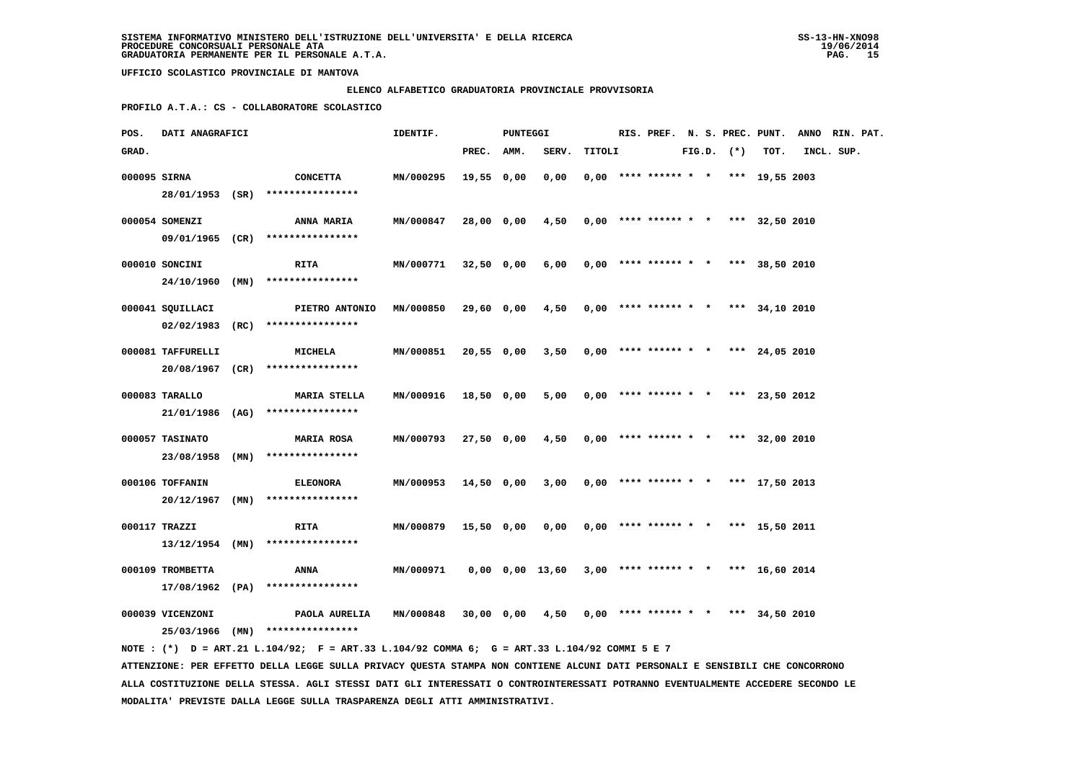### **ELENCO ALFABETICO GRADUATORIA PROVINCIALE PROVVISORIA**

 **PROFILO A.T.A.: CS - COLLABORATORE SCOLASTICO**

| POS.         | DATI ANAGRAFICI   |  |                                                                                             | IDENTIF.         | PUNTEGGI   |  |                                                             |        |                                            | RIS. PREF. N. S. PREC. PUNT. ANNO RIN. PAT. |  |                |      |            |  |
|--------------|-------------------|--|---------------------------------------------------------------------------------------------|------------------|------------|--|-------------------------------------------------------------|--------|--------------------------------------------|---------------------------------------------|--|----------------|------|------------|--|
| GRAD.        |                   |  |                                                                                             |                  | PREC. AMM. |  | SERV.                                                       | TITOLI |                                            |                                             |  | $FIG.D.$ $(*)$ | TOT. | INCL. SUP. |  |
| 000095 SIRNA |                   |  | <b>CONCETTA</b><br>28/01/1953 (SR) ****************                                         | MN/000295        | 19,55 0,00 |  | 0,00                                                        |        | $0,00$ **** ****** * * *** 19,55 2003      |                                             |  |                |      |            |  |
|              | 000054 SOMENZI    |  | <b>ANNA MARIA</b><br>09/01/1965 (CR) ****************                                       | MN/000847        | 28,00 0,00 |  | 4,50                                                        |        | $0,00$ **** ****** * * *** 32,50 2010      |                                             |  |                |      |            |  |
|              | 000010 SONCINI    |  | <b>RITA</b>                                                                                 | <b>MN/000771</b> | 32,50 0,00 |  | 6,00                                                        |        | $0,00$ **** ****** * * *** 38,50 2010      |                                             |  |                |      |            |  |
|              | 000041 SQUILLACI  |  | 24/10/1960 (MN) ****************<br>PIETRO ANTONIO                                          | <b>MN/000850</b> | 29,60 0,00 |  | 4,50                                                        |        | $0.00$ **** ****** * * *** 34.10 2010      |                                             |  |                |      |            |  |
|              | 000081 TAFFURELLI |  | 02/02/1983 (RC) ****************<br><b>MICHELA</b>                                          | MN/000851        | 20,55 0,00 |  |                                                             |        | $3,50$ 0,00 **** ****** * * *** 24,05 2010 |                                             |  |                |      |            |  |
|              | 000083 TARALLO    |  | 20/08/1967 (CR) ****************<br><b>MARIA STELLA</b>                                     | <b>MN/000916</b> | 18,50 0,00 |  | 5,00                                                        |        | $0.00$ **** ****** * * *** 23,50 2012      |                                             |  |                |      |            |  |
|              | 000057 TASINATO   |  | $21/01/1986$ (AG) *****************<br><b>MARIA ROSA</b>                                    | <b>MN/000793</b> | 27,50 0,00 |  | 4,50                                                        |        | $0,00$ **** ****** * * *** 32,00 2010      |                                             |  |                |      |            |  |
|              |                   |  | 23/08/1958 (MN) ****************                                                            |                  |            |  |                                                             |        |                                            |                                             |  |                |      |            |  |
|              | 000106 TOFFANIN   |  | <b>ELEONORA</b><br>$20/12/1967$ (MN) ****************                                       | MN/000953        | 14,50 0,00 |  | 3,00                                                        |        | $0,00$ **** ****** * * *** 17,50 2013      |                                             |  |                |      |            |  |
|              | 000117 TRAZZI     |  | <b>RITA</b><br>$13/12/1954$ (MN) *****************                                          | <b>MN/000879</b> | 15,50 0,00 |  | 0,00                                                        |        | $0,00$ **** ****** * * *** 15,50 2011      |                                             |  |                |      |            |  |
|              | 000109 TROMBETTA  |  | ANNA<br>17/08/1962 (PA) ****************                                                    | MN/000971        |            |  | $0,00$ $0,00$ $13,60$ $3,00$ **** ****** * * *** 16,60 2014 |        |                                            |                                             |  |                |      |            |  |
|              | 000039 VICENZONI  |  | PAOLA AURELIA<br>25/03/1966 (MN) ****************                                           | MN/000848        |            |  | 30,00 0,00 4,50                                             |        | $0,00$ **** ****** * * *** 34,50 2010      |                                             |  |                |      |            |  |
|              |                   |  | NOTE: (*) D = ART.21 L.104/92; F = ART.33 L.104/92 COMMA 6; G = ART.33 L.104/92 COMMI 5 E 7 |                  |            |  |                                                             |        |                                            |                                             |  |                |      |            |  |